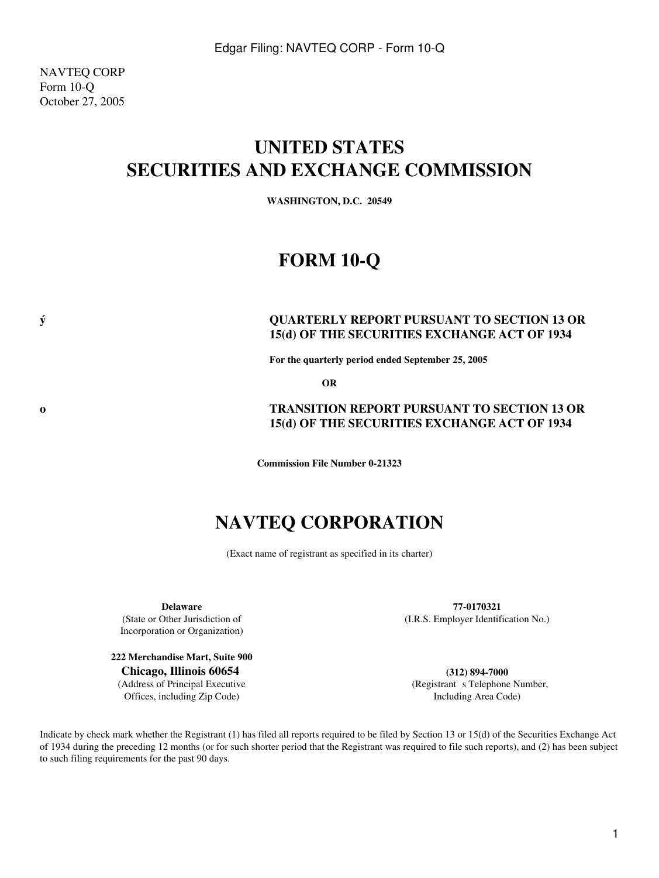NAVTEQ CORP Form 10-Q October 27, 2005

# **UNITED STATES SECURITIES AND EXCHANGE COMMISSION**

**WASHINGTON, D.C. 20549**

# **FORM 10-Q**

### **ý QUARTERLY REPORT PURSUANT TO SECTION 13 OR 15(d) OF THE SECURITIES EXCHANGE ACT OF 1934**

**For the quarterly period ended September 25, 2005**

**OR**

### **o TRANSITION REPORT PURSUANT TO SECTION 13 OR 15(d) OF THE SECURITIES EXCHANGE ACT OF 1934**

**Commission File Number 0-21323**

# **NAVTEQ CORPORATION**

(Exact name of registrant as specified in its charter)

(State or Other Jurisdiction of Incorporation or Organization)

**222 Merchandise Mart, Suite 900 Chicago, Illinois 60654 (312) 894-7000** (Address of Principal Executive Offices, including Zip Code)

**Delaware 77-0170321** (I.R.S. Employer Identification No.)

> (Registrant s Telephone Number, Including Area Code)

Indicate by check mark whether the Registrant (1) has filed all reports required to be filed by Section 13 or 15(d) of the Securities Exchange Act of 1934 during the preceding 12 months (or for such shorter period that the Registrant was required to file such reports), and (2) has been subject to such filing requirements for the past 90 days.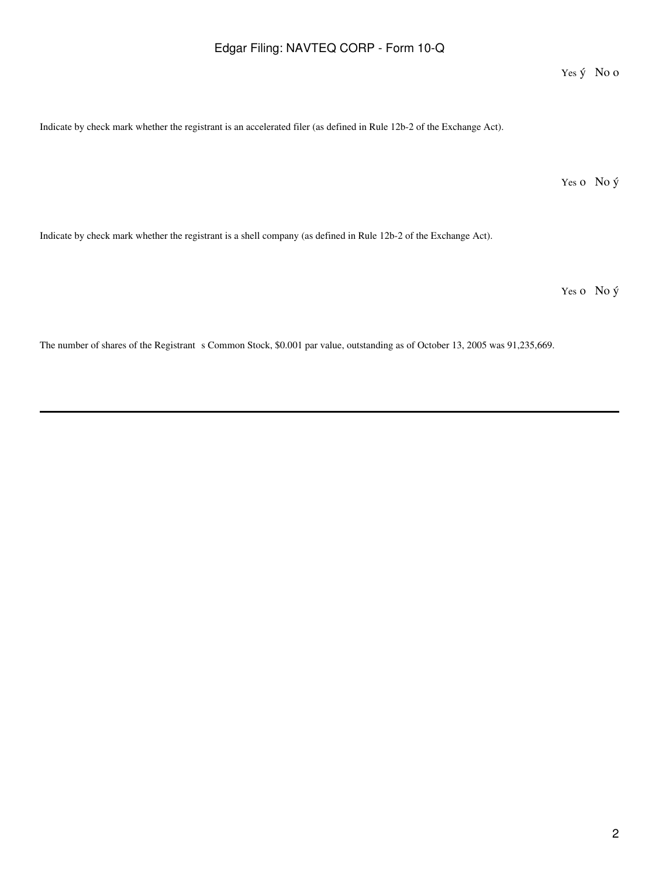Yes ý No o

Indicate by check mark whether the registrant is an accelerated filer (as defined in Rule 12b-2 of the Exchange Act).

Yes o No ý

Indicate by check mark whether the registrant is a shell company (as defined in Rule 12b-2 of the Exchange Act).

Yes o No ý

The number of shares of the Registrant s Common Stock, \$0.001 par value, outstanding as of October 13, 2005 was 91,235,669.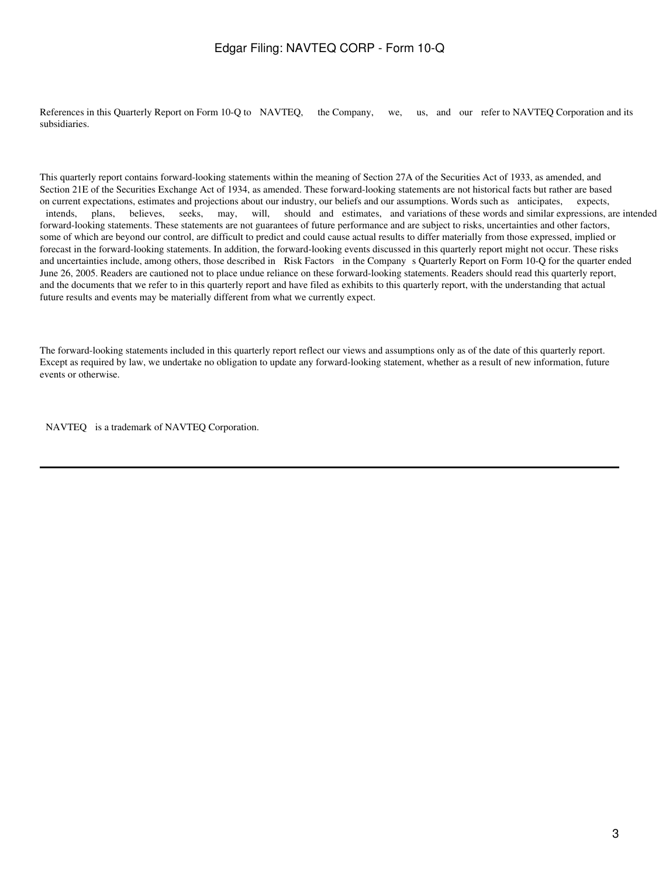References in this Quarterly Report on Form 10-Q to NAVTEQ, the Company, we, us, and our refer to NAVTEQ Corporation and its subsidiaries.

This quarterly report contains forward-looking statements within the meaning of Section 27A of the Securities Act of 1933, as amended, and Section 21E of the Securities Exchange Act of 1934, as amended. These forward-looking statements are not historical facts but rather are based on current expectations, estimates and projections about our industry, our beliefs and our assumptions. Words such as anticipates, expects, intends, plans, believes, seeks, may, will, should and estimates, and variations of these words and similar expressions, are intended forward-looking statements. These statements are not guarantees of future performance and are subject to risks, uncertainties and other factors, some of which are beyond our control, are difficult to predict and could cause actual results to differ materially from those expressed, implied or forecast in the forward-looking statements. In addition, the forward-looking events discussed in this quarterly report might not occur. These risks and uncertainties include, among others, those described in Risk Factors in the Company s Quarterly Report on Form 10-Q for the quarter ended June 26, 2005. Readers are cautioned not to place undue reliance on these forward-looking statements. Readers should read this quarterly report, and the documents that we refer to in this quarterly report and have filed as exhibits to this quarterly report, with the understanding that actual future results and events may be materially different from what we currently expect.

The forward-looking statements included in this quarterly report reflect our views and assumptions only as of the date of this quarterly report. Except as required by law, we undertake no obligation to update any forward-looking statement, whether as a result of new information, future events or otherwise.

NAVTEQ is a trademark of NAVTEQ Corporation.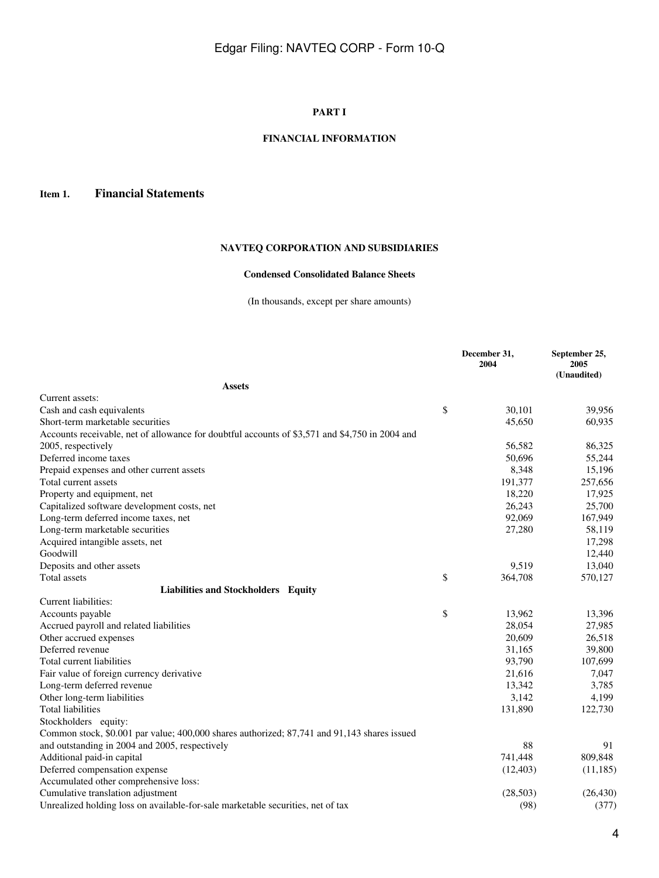### **PART I**

### **FINANCIAL INFORMATION**

### **Item 1. Financial Statements**

# **NAVTEQ CORPORATION AND SUBSIDIARIES**

### **Condensed Consolidated Balance Sheets**

(In thousands, except per share amounts)

|                                                                                                | December 31,<br>2004 | September 25,<br>2005<br>(Unaudited) |
|------------------------------------------------------------------------------------------------|----------------------|--------------------------------------|
| <b>Assets</b>                                                                                  |                      |                                      |
| Current assets:                                                                                |                      |                                      |
| Cash and cash equivalents                                                                      | \$<br>30,101         | 39,956                               |
| Short-term marketable securities                                                               | 45,650               | 60,935                               |
| Accounts receivable, net of allowance for doubtful accounts of \$3,571 and \$4,750 in 2004 and |                      |                                      |
| 2005, respectively                                                                             | 56,582               | 86,325                               |
| Deferred income taxes                                                                          | 50,696               | 55,244                               |
| Prepaid expenses and other current assets                                                      | 8,348                | 15,196                               |
| Total current assets                                                                           | 191,377              | 257,656                              |
| Property and equipment, net                                                                    | 18,220               | 17,925                               |
| Capitalized software development costs, net                                                    | 26,243               | 25,700                               |
| Long-term deferred income taxes, net                                                           | 92,069               | 167,949                              |
| Long-term marketable securities                                                                | 27,280               | 58,119                               |
| Acquired intangible assets, net                                                                |                      | 17,298                               |
| Goodwill                                                                                       |                      | 12,440                               |
| Deposits and other assets                                                                      | 9,519                | 13,040                               |
| Total assets                                                                                   | \$<br>364,708        | 570,127                              |
| Liabilities and Stockholders Equity                                                            |                      |                                      |
| Current liabilities:                                                                           |                      |                                      |
| Accounts payable                                                                               | \$<br>13,962         | 13,396                               |
| Accrued payroll and related liabilities                                                        | 28,054               | 27,985                               |
| Other accrued expenses                                                                         | 20,609               | 26,518                               |
| Deferred revenue                                                                               | 31,165               | 39,800                               |
| Total current liabilities                                                                      | 93,790               | 107,699                              |
| Fair value of foreign currency derivative                                                      | 21,616               | 7,047                                |
| Long-term deferred revenue                                                                     | 13,342               | 3,785                                |
| Other long-term liabilities                                                                    | 3,142                | 4,199                                |
| <b>Total liabilities</b>                                                                       | 131,890              | 122,730                              |
| Stockholders equity:                                                                           |                      |                                      |
| Common stock, \$0.001 par value; 400,000 shares authorized; 87,741 and 91,143 shares issued    |                      |                                      |
| and outstanding in 2004 and 2005, respectively                                                 | 88                   | 91                                   |
| Additional paid-in capital                                                                     | 741,448              | 809,848                              |
| Deferred compensation expense                                                                  | (12, 403)            | (11, 185)                            |
| Accumulated other comprehensive loss:                                                          |                      |                                      |
| Cumulative translation adjustment                                                              | (28,503)             | (26, 430)                            |
| Unrealized holding loss on available-for-sale marketable securities, net of tax                | (98)                 | (377)                                |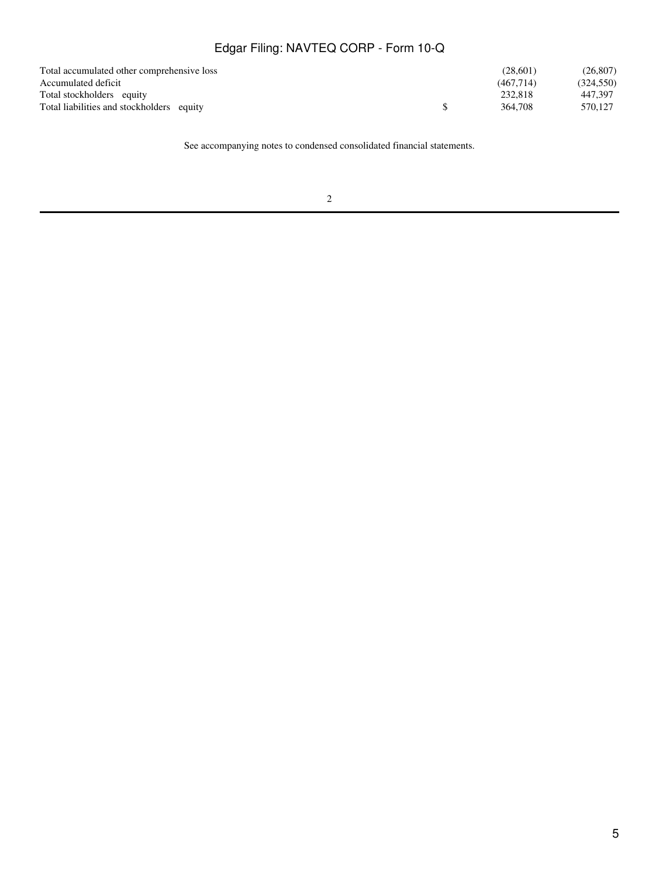| Total accumulated other comprehensive loss | (28.601)  | (26, 807)  |
|--------------------------------------------|-----------|------------|
| Accumulated deficit                        | (467.714) | (324, 550) |
| Total stockholders equity                  | 232,818   | 447.397    |
| Total liabilities and stockholders equity  | 364.708   | 570.127    |

See accompanying notes to condensed consolidated financial statements.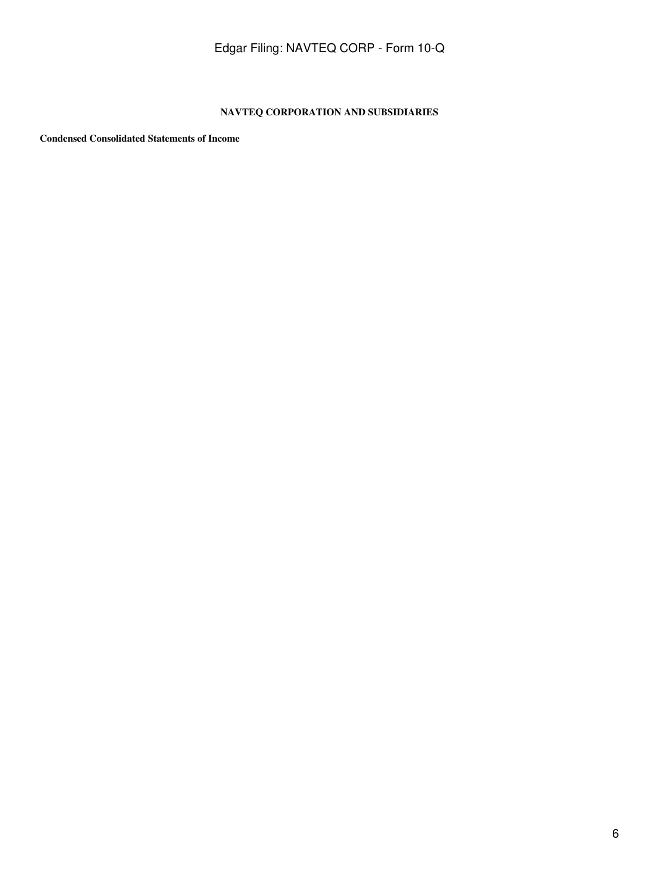### **NAVTEQ CORPORATION AND SUBSIDIARIES**

**Condensed Consolidated Statements of Income**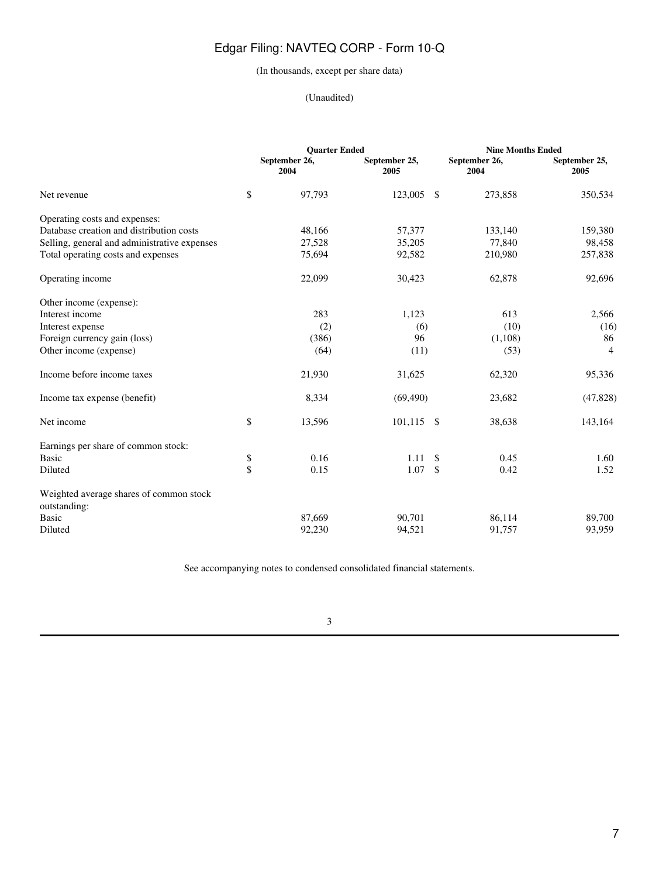### (In thousands, except per share data)

### (Unaudited)

|                                              |           | <b>Quarter Ended</b>  |                       |      | <b>Nine Months Ended</b> |                       |
|----------------------------------------------|-----------|-----------------------|-----------------------|------|--------------------------|-----------------------|
|                                              |           | September 26,<br>2004 | September 25,<br>2005 |      | September 26,<br>2004    | September 25,<br>2005 |
| Net revenue                                  | \$        | 97,793                | 123,005               | - \$ | 273,858                  | 350,534               |
| Operating costs and expenses:                |           |                       |                       |      |                          |                       |
| Database creation and distribution costs     |           | 48,166                | 57,377                |      | 133,140                  | 159,380               |
| Selling, general and administrative expenses |           | 27,528                | 35,205                |      | 77,840                   | 98,458                |
| Total operating costs and expenses           |           | 75,694                | 92,582                |      | 210,980                  | 257,838               |
| Operating income                             |           | 22,099                | 30,423                |      | 62,878                   | 92,696                |
| Other income (expense):                      |           |                       |                       |      |                          |                       |
| Interest income                              |           | 283                   | 1,123                 |      | 613                      | 2,566                 |
| Interest expense                             |           | (2)                   | (6)                   |      | (10)                     | (16)                  |
| Foreign currency gain (loss)                 |           | (386)                 | 96                    |      | (1,108)                  | 86                    |
| Other income (expense)                       |           | (64)                  | (11)                  |      | (53)                     | $\overline{4}$        |
| Income before income taxes                   |           | 21,930                | 31,625                |      | 62,320                   | 95,336                |
| Income tax expense (benefit)                 |           | 8,334                 | (69, 490)             |      | 23,682                   | (47, 828)             |
| Net income                                   | \$        | 13,596                | $101,115$ \$          |      | 38,638                   | 143,164               |
| Earnings per share of common stock:          |           |                       |                       |      |                          |                       |
| <b>Basic</b>                                 | \$        | 0.16                  | 1.11                  | \$   | 0.45                     | 1.60                  |
| Diluted                                      | $\hat{S}$ | 0.15                  | 1.07                  | \$   | 0.42                     | 1.52                  |
| Weighted average shares of common stock      |           |                       |                       |      |                          |                       |
| outstanding:                                 |           |                       |                       |      |                          |                       |
| <b>Basic</b>                                 |           | 87,669                | 90,701                |      | 86,114                   | 89,700                |
| Diluted                                      |           | 92,230                | 94,521                |      | 91,757                   | 93,959                |

See accompanying notes to condensed consolidated financial statements.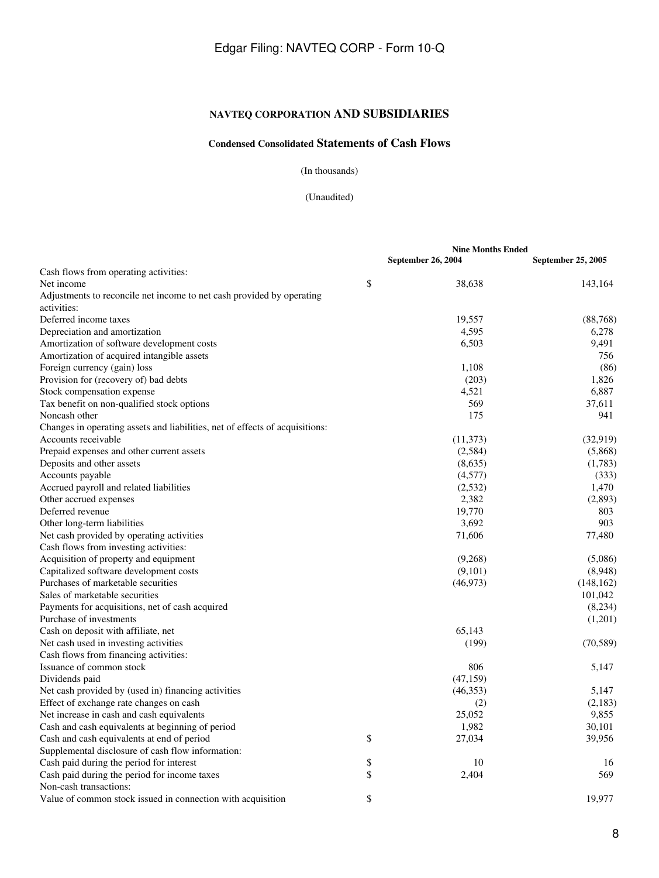# **NAVTEQ CORPORATION AND SUBSIDIARIES**

# **Condensed Consolidated Statements of Cash Flows**

(In thousands)

(Unaudited)

|                                                                              | <b>Nine Months Ended</b>  |                    |  |
|------------------------------------------------------------------------------|---------------------------|--------------------|--|
|                                                                              | <b>September 26, 2004</b> | September 25, 2005 |  |
| Cash flows from operating activities:                                        |                           |                    |  |
| Net income                                                                   | \$<br>38,638              | 143,164            |  |
| Adjustments to reconcile net income to net cash provided by operating        |                           |                    |  |
| activities:                                                                  |                           |                    |  |
| Deferred income taxes                                                        | 19,557                    | (88, 768)          |  |
| Depreciation and amortization                                                | 4,595                     | 6,278              |  |
| Amortization of software development costs                                   | 6,503                     | 9,491              |  |
| Amortization of acquired intangible assets                                   |                           | 756                |  |
| Foreign currency (gain) loss                                                 | 1,108                     | (86)               |  |
| Provision for (recovery of) bad debts                                        | (203)                     | 1,826              |  |
| Stock compensation expense                                                   | 4,521                     | 6,887              |  |
| Tax benefit on non-qualified stock options                                   | 569                       | 37,611             |  |
| Noncash other                                                                | 175                       | 941                |  |
| Changes in operating assets and liabilities, net of effects of acquisitions: |                           |                    |  |
| Accounts receivable                                                          | (11, 373)                 | (32, 919)          |  |
| Prepaid expenses and other current assets                                    | (2,584)                   | (5,868)            |  |
| Deposits and other assets                                                    | (8,635)                   | (1,783)            |  |
| Accounts payable                                                             | (4,577)                   | (333)              |  |
| Accrued payroll and related liabilities                                      | (2, 532)                  | 1,470              |  |
| Other accrued expenses                                                       | 2,382                     | (2,893)            |  |
| Deferred revenue                                                             | 19,770                    | 803                |  |
| Other long-term liabilities                                                  | 3,692                     | 903                |  |
| Net cash provided by operating activities                                    | 71,606                    | 77,480             |  |
| Cash flows from investing activities:                                        |                           |                    |  |
| Acquisition of property and equipment                                        | (9,268)                   | (5,086)            |  |
| Capitalized software development costs                                       | (9,101)                   | (8,948)            |  |
| Purchases of marketable securities                                           | (46,973)                  | (148, 162)         |  |
| Sales of marketable securities                                               |                           | 101,042            |  |
| Payments for acquisitions, net of cash acquired                              |                           | (8,234)            |  |
| Purchase of investments                                                      |                           | (1,201)            |  |
| Cash on deposit with affiliate, net                                          | 65,143                    |                    |  |
| Net cash used in investing activities                                        | (199)                     | (70, 589)          |  |
| Cash flows from financing activities:                                        |                           |                    |  |
| Issuance of common stock                                                     | 806                       | 5,147              |  |
| Dividends paid                                                               | (47, 159)                 |                    |  |
| Net cash provided by (used in) financing activities                          | (46,353)                  | 5,147              |  |
| Effect of exchange rate changes on cash                                      | (2)                       | (2,183)            |  |
| Net increase in cash and cash equivalents                                    | 25,052                    | 9,855              |  |
| Cash and cash equivalents at beginning of period                             | 1,982                     | 30,101             |  |
| Cash and cash equivalents at end of period                                   | \$<br>27,034              | 39,956             |  |
| Supplemental disclosure of cash flow information:                            |                           |                    |  |
| Cash paid during the period for interest                                     | \$<br>10                  | 16                 |  |
| Cash paid during the period for income taxes                                 | \$<br>2,404               | 569                |  |
| Non-cash transactions:                                                       |                           |                    |  |
| Value of common stock issued in connection with acquisition                  | \$                        | 19,977             |  |
|                                                                              |                           |                    |  |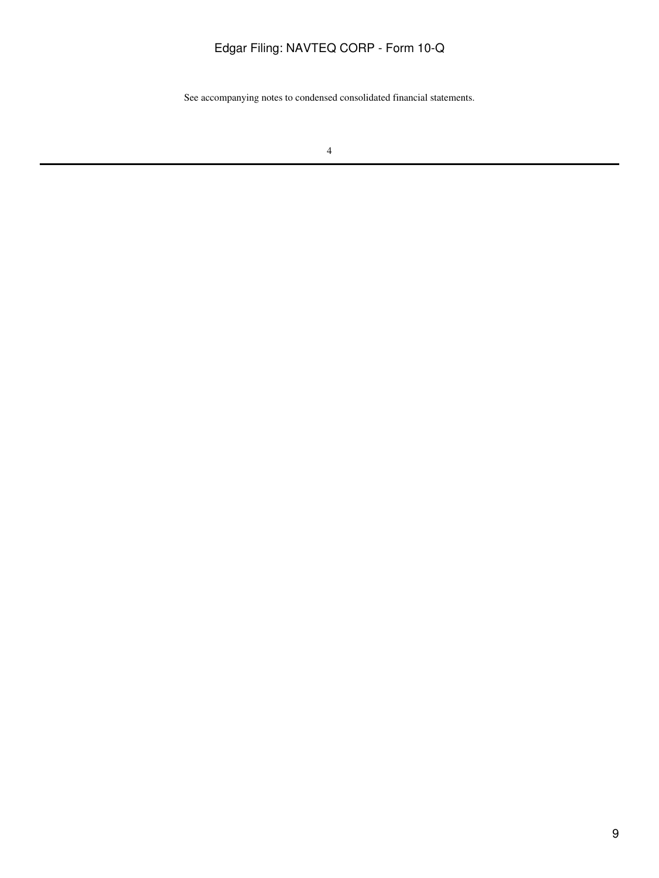See accompanying notes to condensed consolidated financial statements.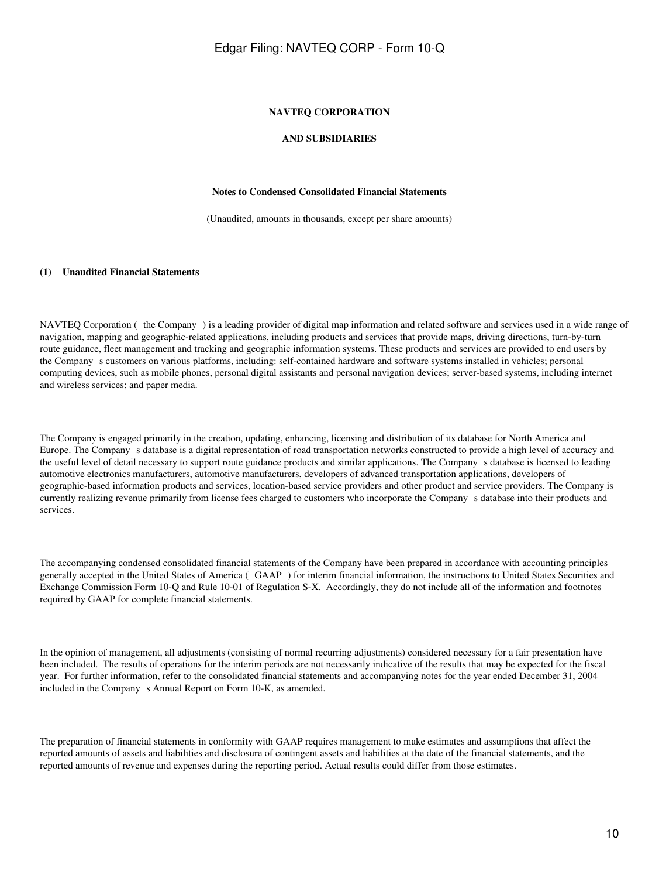#### **NAVTEQ CORPORATION**

#### **AND SUBSIDIARIES**

#### **Notes to Condensed Consolidated Financial Statements**

(Unaudited, amounts in thousands, except per share amounts)

#### **(1) Unaudited Financial Statements**

NAVTEQ Corporation (the Company) is a leading provider of digital map information and related software and services used in a wide range of navigation, mapping and geographic-related applications, including products and services that provide maps, driving directions, turn-by-turn route guidance, fleet management and tracking and geographic information systems. These products and services are provided to end users by the Company s customers on various platforms, including: self-contained hardware and software systems installed in vehicles; personal computing devices, such as mobile phones, personal digital assistants and personal navigation devices; server-based systems, including internet and wireless services; and paper media.

The Company is engaged primarily in the creation, updating, enhancing, licensing and distribution of its database for North America and Europe. The Companys database is a digital representation of road transportation networks constructed to provide a high level of accuracy and the useful level of detail necessary to support route guidance products and similar applications. The Companys database is licensed to leading automotive electronics manufacturers, automotive manufacturers, developers of advanced transportation applications, developers of geographic-based information products and services, location-based service providers and other product and service providers. The Company is currently realizing revenue primarily from license fees charged to customers who incorporate the Companys database into their products and services.

The accompanying condensed consolidated financial statements of the Company have been prepared in accordance with accounting principles generally accepted in the United States of America (GAAP) for interim financial information, the instructions to United States Securities and Exchange Commission Form 10-Q and Rule 10-01 of Regulation S-X. Accordingly, they do not include all of the information and footnotes required by GAAP for complete financial statements.

In the opinion of management, all adjustments (consisting of normal recurring adjustments) considered necessary for a fair presentation have been included. The results of operations for the interim periods are not necessarily indicative of the results that may be expected for the fiscal year. For further information, refer to the consolidated financial statements and accompanying notes for the year ended December 31, 2004 included in the Company s Annual Report on Form 10-K, as amended.

The preparation of financial statements in conformity with GAAP requires management to make estimates and assumptions that affect the reported amounts of assets and liabilities and disclosure of contingent assets and liabilities at the date of the financial statements, and the reported amounts of revenue and expenses during the reporting period. Actual results could differ from those estimates.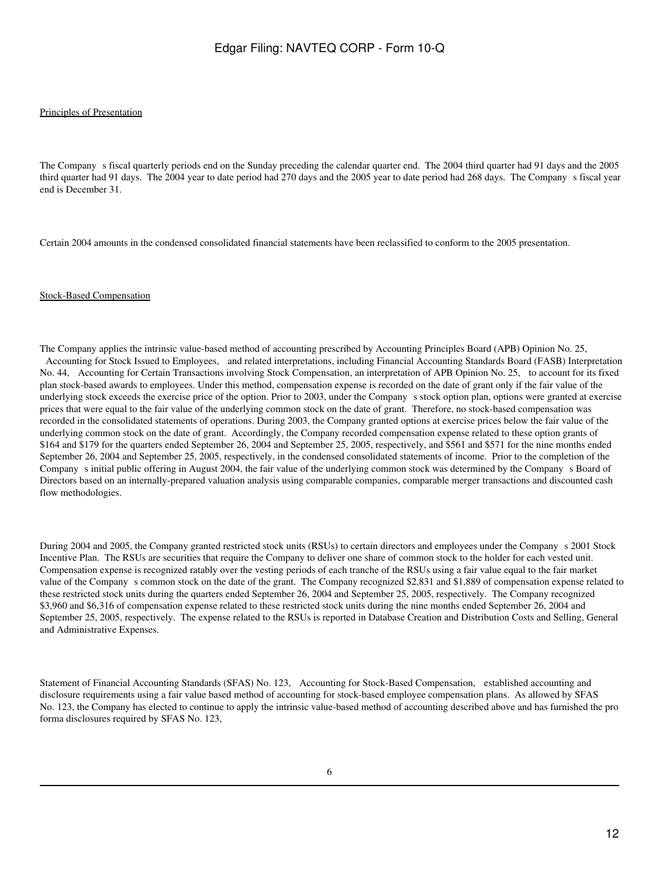#### Principles of Presentation

The Company s fiscal quarterly periods end on the Sunday preceding the calendar quarter end. The 2004 third quarter had 91 days and the 2005 third quarter had 91 days. The 2004 year to date period had 270 days and the 2005 year to date period had 268 days. The Company s fiscal year end is December 31.

Certain 2004 amounts in the condensed consolidated financial statements have been reclassified to conform to the 2005 presentation.

#### Stock-Based Compensation

The Company applies the intrinsic value-based method of accounting prescribed by Accounting Principles Board (APB) Opinion No. 25, Accounting for Stock Issued to Employees, and related interpretations, including Financial Accounting Standards Board (FASB) Interpretation No. 44, Accounting for Certain Transactions involving Stock Compensation, an interpretation of APB Opinion No. 25, to account for its fixed plan stock-based awards to employees. Under this method, compensation expense is recorded on the date of grant only if the fair value of the underlying stock exceeds the exercise price of the option. Prior to 2003, under the Company s stock option plan, options were granted at exercise prices that were equal to the fair value of the underlying common stock on the date of grant. Therefore, no stock-based compensation was recorded in the consolidated statements of operations. During 2003, the Company granted options at exercise prices below the fair value of the underlying common stock on the date of grant. Accordingly, the Company recorded compensation expense related to these option grants of \$164 and \$179 for the quarters ended September 26, 2004 and September 25, 2005, respectively, and \$561 and \$571 for the nine months ended September 26, 2004 and September 25, 2005, respectively, in the condensed consolidated statements of income. Prior to the completion of the Company s initial public offering in August 2004, the fair value of the underlying common stock was determined by the Company s Board of Directors based on an internally-prepared valuation analysis using comparable companies, comparable merger transactions and discounted cash flow methodologies.

During 2004 and 2005, the Company granted restricted stock units (RSUs) to certain directors and employees under the Company s 2001 Stock Incentive Plan. The RSUs are securities that require the Company to deliver one share of common stock to the holder for each vested unit. Compensation expense is recognized ratably over the vesting periods of each tranche of the RSUs using a fair value equal to the fair market value of the Company s common stock on the date of the grant. The Company recognized \$2,831 and \$1,889 of compensation expense related to these restricted stock units during the quarters ended September 26, 2004 and September 25, 2005, respectively. The Company recognized \$3,960 and \$6,316 of compensation expense related to these restricted stock units during the nine months ended September 26, 2004 and September 25, 2005, respectively. The expense related to the RSUs is reported in Database Creation and Distribution Costs and Selling, General and Administrative Expenses.

Statement of Financial Accounting Standards (SFAS) No. 123, Accounting for Stock-Based Compensation, established accounting and disclosure requirements using a fair value based method of accounting for stock-based employee compensation plans. As allowed by SFAS No. 123, the Company has elected to continue to apply the intrinsic value-based method of accounting described above and has furnished the pro forma disclosures required by SFAS No. 123,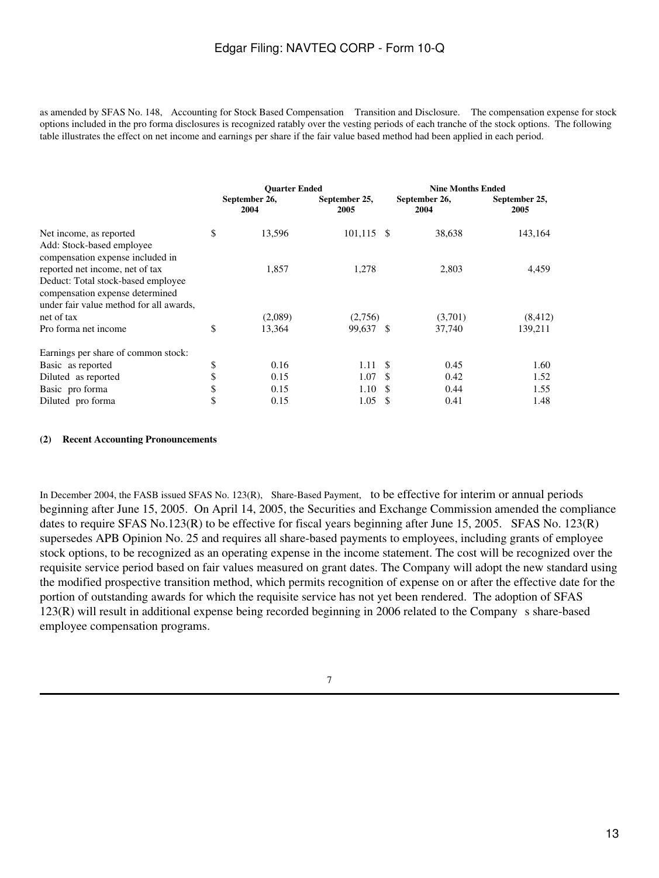as amended by SFAS No. 148, Accounting for Stock Based Compensation Transition and Disclosure. The compensation expense for stock options included in the pro forma disclosures is recognized ratably over the vesting periods of each tranche of the stock options. The following table illustrates the effect on net income and earnings per share if the fair value based method had been applied in each period.

|                                                               | <b>Ouarter Ended</b>  |                       |    | <b>Nine Months Ended</b> |                       |  |
|---------------------------------------------------------------|-----------------------|-----------------------|----|--------------------------|-----------------------|--|
|                                                               | September 26,<br>2004 | September 25,<br>2005 |    | September 26,<br>2004    | September 25,<br>2005 |  |
| Net income, as reported                                       | \$<br>13,596          | $101,115$ \$          |    | 38,638                   | 143,164               |  |
| Add: Stock-based employee<br>compensation expense included in |                       |                       |    |                          |                       |  |
| reported net income, net of tax                               | 1,857                 | 1,278                 |    | 2,803                    | 4,459                 |  |
| Deduct: Total stock-based employee                            |                       |                       |    |                          |                       |  |
| compensation expense determined                               |                       |                       |    |                          |                       |  |
| under fair value method for all awards,                       |                       |                       |    |                          |                       |  |
| net of tax                                                    | (2,089)               | (2,756)               |    | (3,701)                  | (8, 412)              |  |
| Pro forma net income                                          | \$<br>13,364          | 99,637 \$             |    | 37,740                   | 139,211               |  |
| Earnings per share of common stock:                           |                       |                       |    |                          |                       |  |
| Basic as reported                                             | \$<br>0.16            | 1.11S                 |    | 0.45                     | 1.60                  |  |
| Diluted as reported                                           | \$<br>0.15            | 1.07                  | -S | 0.42                     | 1.52                  |  |
| Basic pro forma                                               | \$<br>0.15            | 1.10                  |    | 0.44                     | 1.55                  |  |
| Diluted pro forma                                             | \$<br>0.15            | 1.05                  | \$ | 0.41                     | 1.48                  |  |

### **(2) Recent Accounting Pronouncements**

In December 2004, the FASB issued SFAS No. 123(R), Share-Based Payment, to be effective for interim or annual periods beginning after June 15, 2005. On April 14, 2005, the Securities and Exchange Commission amended the compliance dates to require SFAS No.123(R) to be effective for fiscal years beginning after June 15, 2005. SFAS No. 123(R) supersedes APB Opinion No. 25 and requires all share-based payments to employees, including grants of employee stock options, to be recognized as an operating expense in the income statement. The cost will be recognized over the requisite service period based on fair values measured on grant dates. The Company will adopt the new standard using the modified prospective transition method, which permits recognition of expense on or after the effective date for the portion of outstanding awards for which the requisite service has not yet been rendered. The adoption of SFAS 123(R) will result in additional expense being recorded beginning in 2006 related to the Companys share-based employee compensation programs.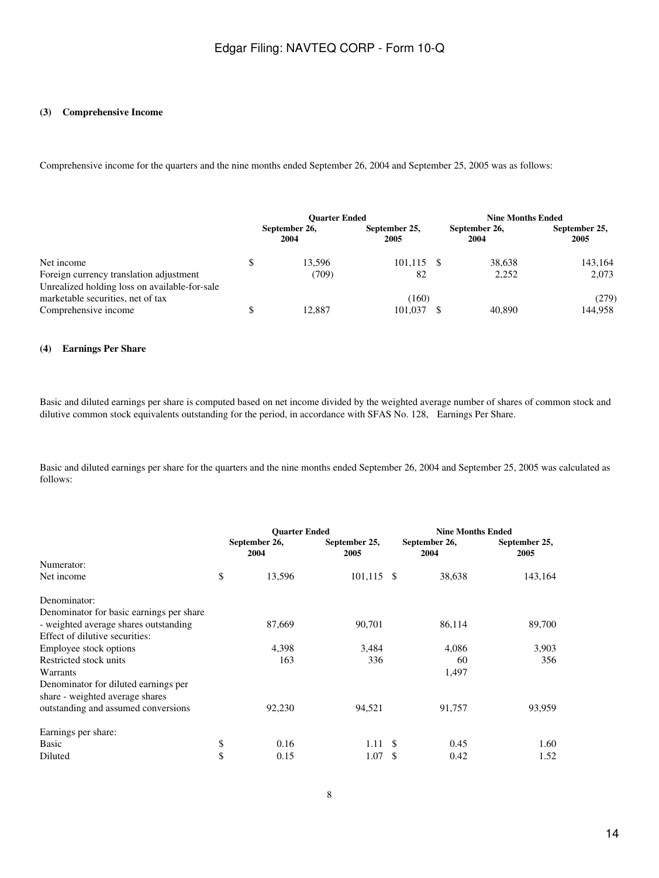#### **(3) Comprehensive Income**

Comprehensive income for the quarters and the nine months ended September 26, 2004 and September 25, 2005 was as follows:

|                                               | <b>Ouarter Ended</b> |                       |                       | <b>Nine Months Ended</b> |                       |  |
|-----------------------------------------------|----------------------|-----------------------|-----------------------|--------------------------|-----------------------|--|
|                                               |                      | September 26,<br>2004 | September 25.<br>2005 | September 26,<br>2004    | September 25,<br>2005 |  |
| Net income                                    |                      | 13.596                | $101.115$ \$          | 38,638                   | 143.164               |  |
| Foreign currency translation adjustment       |                      | (709)                 | 82                    | 2,252                    | 2.073                 |  |
| Unrealized holding loss on available-for-sale |                      |                       |                       |                          |                       |  |
| marketable securities, net of tax             |                      |                       | (160)                 |                          | (279)                 |  |
| Comprehensive income                          |                      | 12.887                | 101.037               | 40,890                   | 144.958               |  |

#### **(4) Earnings Per Share**

Basic and diluted earnings per share is computed based on net income divided by the weighted average number of shares of common stock and dilutive common stock equivalents outstanding for the period, in accordance with SFAS No. 128, Earnings Per Share.

Basic and diluted earnings per share for the quarters and the nine months ended September 26, 2004 and September 25, 2005 was calculated as follows:

|                                          | <b>Ouarter Ended</b> |                       |                       |    | <b>Nine Months Ended</b> |                       |  |
|------------------------------------------|----------------------|-----------------------|-----------------------|----|--------------------------|-----------------------|--|
|                                          |                      | September 26,<br>2004 | September 25,<br>2005 |    | September 26,<br>2004    | September 25,<br>2005 |  |
| Numerator:                               |                      |                       |                       |    |                          |                       |  |
| Net income                               | \$                   | 13,596                | $101,115$ \$          |    | 38,638                   | 143,164               |  |
| Denominator:                             |                      |                       |                       |    |                          |                       |  |
| Denominator for basic earnings per share |                      |                       |                       |    |                          |                       |  |
| - weighted average shares outstanding    |                      | 87,669                | 90,701                |    | 86,114                   | 89,700                |  |
| Effect of dilutive securities:           |                      |                       |                       |    |                          |                       |  |
| Employee stock options                   |                      | 4,398                 | 3,484                 |    | 4,086                    | 3,903                 |  |
| Restricted stock units                   |                      | 163                   | 336                   |    | 60                       | 356                   |  |
| Warrants                                 |                      |                       |                       |    | 1,497                    |                       |  |
| Denominator for diluted earnings per     |                      |                       |                       |    |                          |                       |  |
| share - weighted average shares          |                      |                       |                       |    |                          |                       |  |
| outstanding and assumed conversions      |                      | 92,230                | 94,521                |    | 91,757                   | 93,959                |  |
| Earnings per share:                      |                      |                       |                       |    |                          |                       |  |
| Basic                                    | \$                   | 0.16                  | 1.11                  | -S | 0.45                     | 1.60                  |  |
| Diluted                                  | \$                   | 0.15                  | 1.07                  | \$ | 0.42                     | 1.52                  |  |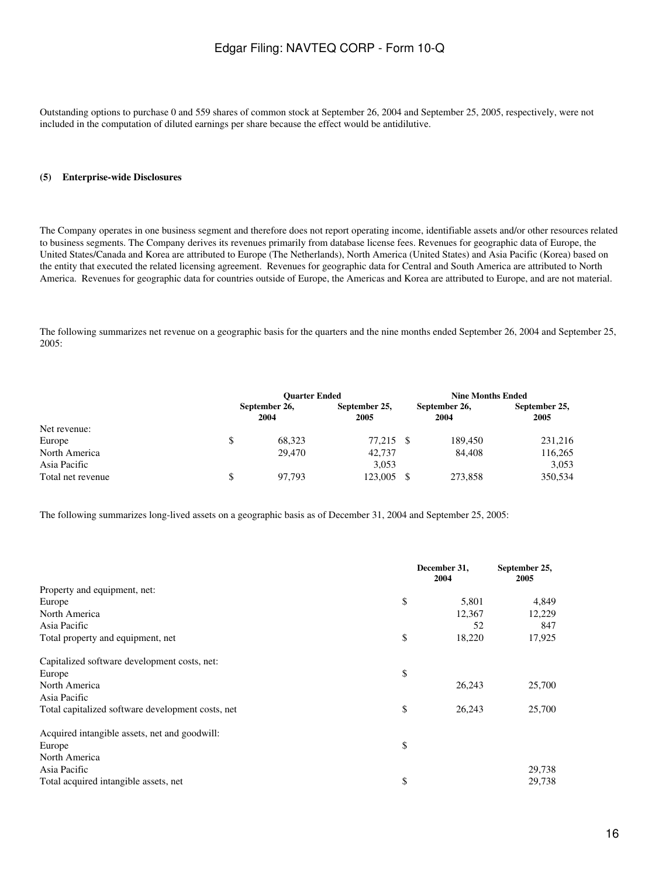Outstanding options to purchase 0 and 559 shares of common stock at September 26, 2004 and September 25, 2005, respectively, were not included in the computation of diluted earnings per share because the effect would be antidilutive.

### **(5) Enterprise-wide Disclosures**

The Company operates in one business segment and therefore does not report operating income, identifiable assets and/or other resources related to business segments. The Company derives its revenues primarily from database license fees. Revenues for geographic data of Europe, the United States/Canada and Korea are attributed to Europe (The Netherlands), North America (United States) and Asia Pacific (Korea) based on the entity that executed the related licensing agreement. Revenues for geographic data for Central and South America are attributed to North America. Revenues for geographic data for countries outside of Europe, the Americas and Korea are attributed to Europe, and are not material.

The following summarizes net revenue on a geographic basis for the quarters and the nine months ended September 26, 2004 and September 25, 2005:

|                   | <b>Ouarter Ended</b>  |                       |     | <b>Nine Months Ended</b> |                       |  |
|-------------------|-----------------------|-----------------------|-----|--------------------------|-----------------------|--|
|                   | September 26,<br>2004 | September 25,<br>2005 |     | September 26,<br>2004    | September 25,<br>2005 |  |
| Net revenue:      |                       |                       |     |                          |                       |  |
| Europe            | \$<br>68.323          | 77.215                | - S | 189.450                  | 231,216               |  |
| North America     | 29,470                | 42,737                |     | 84,408                   | 116,265               |  |
| Asia Pacific      |                       | 3,053                 |     |                          | 3,053                 |  |
| Total net revenue | \$<br>97.793          | 123,005               |     | 273,858                  | 350,534               |  |

The following summarizes long-lived assets on a geographic basis as of December 31, 2004 and September 25, 2005:

|                                                   | December 31,<br>2004 | September 25,<br>2005 |
|---------------------------------------------------|----------------------|-----------------------|
| Property and equipment, net:                      |                      |                       |
| Europe                                            | \$<br>5,801          | 4,849                 |
| North America                                     | 12,367               | 12,229                |
| Asia Pacific                                      | 52                   | 847                   |
| Total property and equipment, net                 | \$<br>18,220         | 17,925                |
| Capitalized software development costs, net:      |                      |                       |
| Europe                                            | \$                   |                       |
| North America                                     | 26,243               | 25,700                |
| Asia Pacific                                      |                      |                       |
| Total capitalized software development costs, net | \$<br>26,243         | 25,700                |
| Acquired intangible assets, net and goodwill:     |                      |                       |
| Europe                                            | \$                   |                       |
| North America                                     |                      |                       |
| Asia Pacific                                      |                      | 29,738                |
| Total acquired intangible assets, net             | \$                   | 29,738                |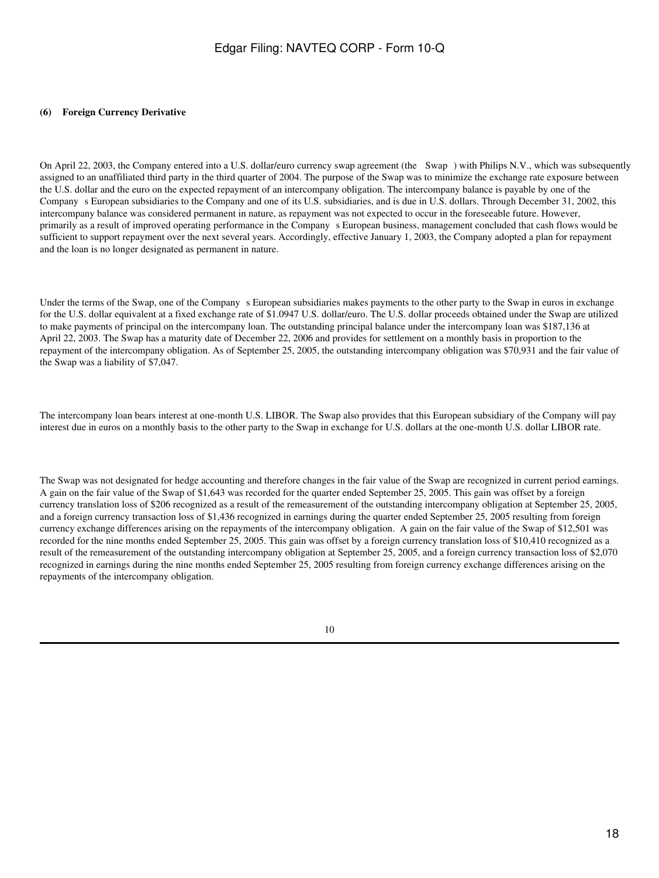#### **(6) Foreign Currency Derivative**

On April 22, 2003, the Company entered into a U.S. dollar/euro currency swap agreement (the Swap) with Philips N.V., which was subsequently assigned to an unaffiliated third party in the third quarter of 2004. The purpose of the Swap was to minimize the exchange rate exposure between the U.S. dollar and the euro on the expected repayment of an intercompany obligation. The intercompany balance is payable by one of the Companys European subsidiaries to the Company and one of its U.S. subsidiaries, and is due in U.S. dollars. Through December 31, 2002, this intercompany balance was considered permanent in nature, as repayment was not expected to occur in the foreseeable future. However, primarily as a result of improved operating performance in the Companys European business, management concluded that cash flows would be sufficient to support repayment over the next several years. Accordingly, effective January 1, 2003, the Company adopted a plan for repayment and the loan is no longer designated as permanent in nature.

Under the terms of the Swap, one of the Company s European subsidiaries makes payments to the other party to the Swap in euros in exchange for the U.S. dollar equivalent at a fixed exchange rate of \$1.0947 U.S. dollar/euro. The U.S. dollar proceeds obtained under the Swap are utilized to make payments of principal on the intercompany loan. The outstanding principal balance under the intercompany loan was \$187,136 at April 22, 2003. The Swap has a maturity date of December 22, 2006 and provides for settlement on a monthly basis in proportion to the repayment of the intercompany obligation. As of September 25, 2005, the outstanding intercompany obligation was \$70,931 and the fair value of the Swap was a liability of \$7,047.

The intercompany loan bears interest at one-month U.S. LIBOR. The Swap also provides that this European subsidiary of the Company will pay interest due in euros on a monthly basis to the other party to the Swap in exchange for U.S. dollars at the one-month U.S. dollar LIBOR rate.

The Swap was not designated for hedge accounting and therefore changes in the fair value of the Swap are recognized in current period earnings. A gain on the fair value of the Swap of \$1,643 was recorded for the quarter ended September 25, 2005. This gain was offset by a foreign currency translation loss of \$206 recognized as a result of the remeasurement of the outstanding intercompany obligation at September 25, 2005, and a foreign currency transaction loss of \$1,436 recognized in earnings during the quarter ended September 25, 2005 resulting from foreign currency exchange differences arising on the repayments of the intercompany obligation. A gain on the fair value of the Swap of \$12,501 was recorded for the nine months ended September 25, 2005. This gain was offset by a foreign currency translation loss of \$10,410 recognized as a result of the remeasurement of the outstanding intercompany obligation at September 25, 2005, and a foreign currency transaction loss of \$2,070 recognized in earnings during the nine months ended September 25, 2005 resulting from foreign currency exchange differences arising on the repayments of the intercompany obligation.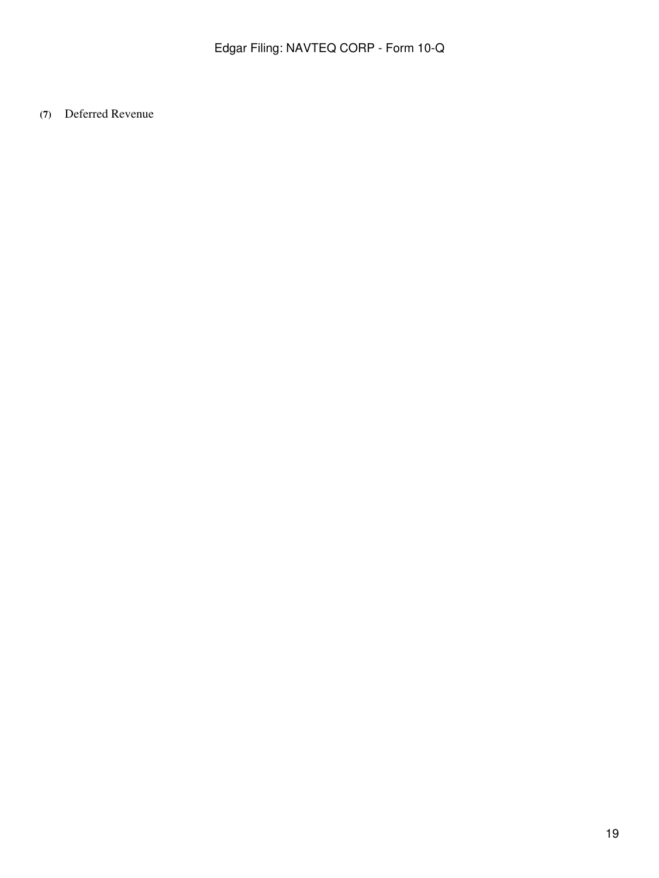**(7)** Deferred Revenue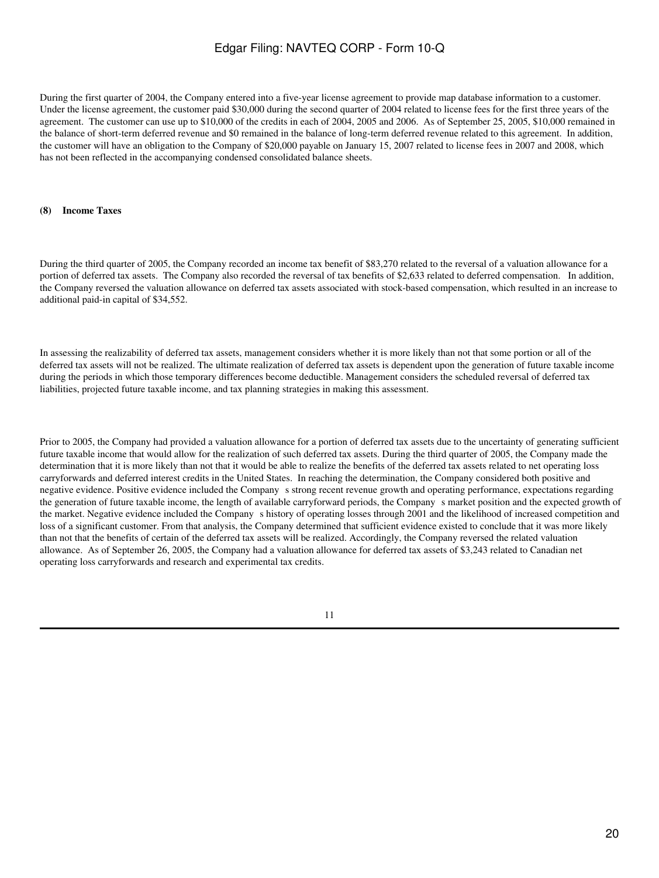During the first quarter of 2004, the Company entered into a five-year license agreement to provide map database information to a customer. Under the license agreement, the customer paid \$30,000 during the second quarter of 2004 related to license fees for the first three years of the agreement. The customer can use up to \$10,000 of the credits in each of 2004, 2005 and 2006. As of September 25, 2005, \$10,000 remained in the balance of short-term deferred revenue and \$0 remained in the balance of long-term deferred revenue related to this agreement. In addition, the customer will have an obligation to the Company of \$20,000 payable on January 15, 2007 related to license fees in 2007 and 2008, which has not been reflected in the accompanying condensed consolidated balance sheets.

#### **(8) Income Taxes**

During the third quarter of 2005, the Company recorded an income tax benefit of \$83,270 related to the reversal of a valuation allowance for a portion of deferred tax assets. The Company also recorded the reversal of tax benefits of \$2,633 related to deferred compensation. In addition, the Company reversed the valuation allowance on deferred tax assets associated with stock-based compensation, which resulted in an increase to additional paid-in capital of \$34,552.

In assessing the realizability of deferred tax assets, management considers whether it is more likely than not that some portion or all of the deferred tax assets will not be realized. The ultimate realization of deferred tax assets is dependent upon the generation of future taxable income during the periods in which those temporary differences become deductible. Management considers the scheduled reversal of deferred tax liabilities, projected future taxable income, and tax planning strategies in making this assessment.

Prior to 2005, the Company had provided a valuation allowance for a portion of deferred tax assets due to the uncertainty of generating sufficient future taxable income that would allow for the realization of such deferred tax assets. During the third quarter of 2005, the Company made the determination that it is more likely than not that it would be able to realize the benefits of the deferred tax assets related to net operating loss carryforwards and deferred interest credits in the United States. In reaching the determination, the Company considered both positive and negative evidence. Positive evidence included the Companys strong recent revenue growth and operating performance, expectations regarding the generation of future taxable income, the length of available carryforward periods, the Companys market position and the expected growth of the market. Negative evidence included the Companys history of operating losses through 2001 and the likelihood of increased competition and loss of a significant customer. From that analysis, the Company determined that sufficient evidence existed to conclude that it was more likely than not that the benefits of certain of the deferred tax assets will be realized. Accordingly, the Company reversed the related valuation allowance. As of September 26, 2005, the Company had a valuation allowance for deferred tax assets of \$3,243 related to Canadian net operating loss carryforwards and research and experimental tax credits.

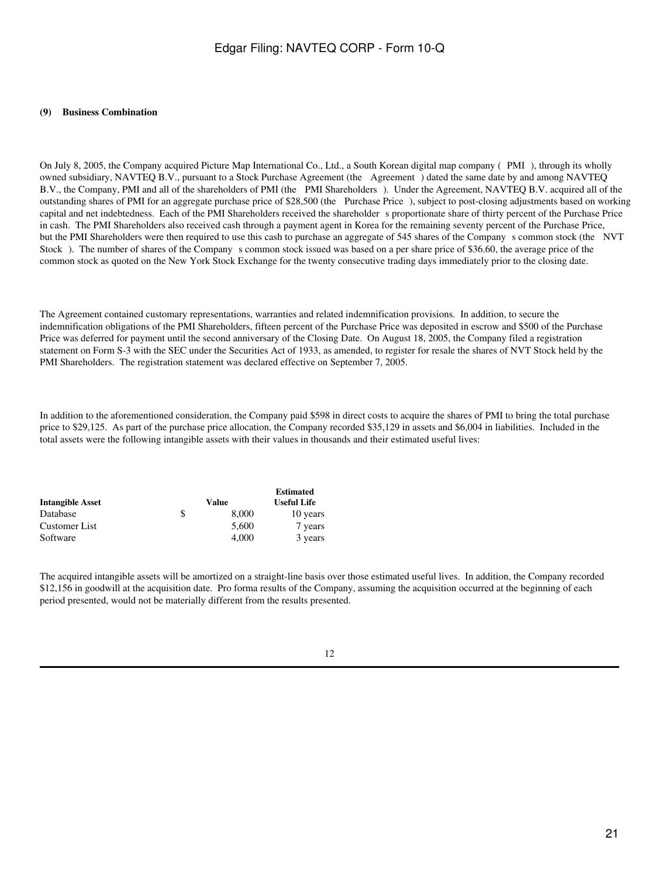#### **(9) Business Combination**

On July 8, 2005, the Company acquired Picture Map International Co., Ltd., a South Korean digital map company (PMI), through its wholly owned subsidiary, NAVTEQ B.V., pursuant to a Stock Purchase Agreement (the Agreement) dated the same date by and among NAVTEQ B.V., the Company, PMI and all of the shareholders of PMI (the PMI Shareholders). Under the Agreement, NAVTEQ B.V. acquired all of the outstanding shares of PMI for an aggregate purchase price of \$28,500 (the Purchase Price), subject to post-closing adjustments based on working capital and net indebtedness. Each of the PMI Shareholders received the shareholder s proportionate share of thirty percent of the Purchase Price in cash. The PMI Shareholders also received cash through a payment agent in Korea for the remaining seventy percent of the Purchase Price, but the PMI Shareholders were then required to use this cash to purchase an aggregate of 545 shares of the Company s common stock (the NVT Stock). The number of shares of the Company s common stock issued was based on a per share price of \$36.60, the average price of the common stock as quoted on the New York Stock Exchange for the twenty consecutive trading days immediately prior to the closing date.

The Agreement contained customary representations, warranties and related indemnification provisions. In addition, to secure the indemnification obligations of the PMI Shareholders, fifteen percent of the Purchase Price was deposited in escrow and \$500 of the Purchase Price was deferred for payment until the second anniversary of the Closing Date. On August 18, 2005, the Company filed a registration statement on Form S-3 with the SEC under the Securities Act of 1933, as amended, to register for resale the shares of NVT Stock held by the PMI Shareholders. The registration statement was declared effective on September 7, 2005.

In addition to the aforementioned consideration, the Company paid \$598 in direct costs to acquire the shares of PMI to bring the total purchase price to \$29,125. As part of the purchase price allocation, the Company recorded \$35,129 in assets and \$6,004 in liabilities. Included in the total assets were the following intangible assets with their values in thousands and their estimated useful lives:

|                         |             | <b>Estimated</b>   |
|-------------------------|-------------|--------------------|
| <b>Intangible Asset</b> | Value       | <b>Useful Life</b> |
| Database                | \$<br>8.000 | 10 years           |
| Customer List           | 5,600       | 7 years            |
| Software                | 4.000       | 3 years            |

The acquired intangible assets will be amortized on a straight-line basis over those estimated useful lives. In addition, the Company recorded \$12,156 in goodwill at the acquisition date. Pro forma results of the Company, assuming the acquisition occurred at the beginning of each period presented, would not be materially different from the results presented.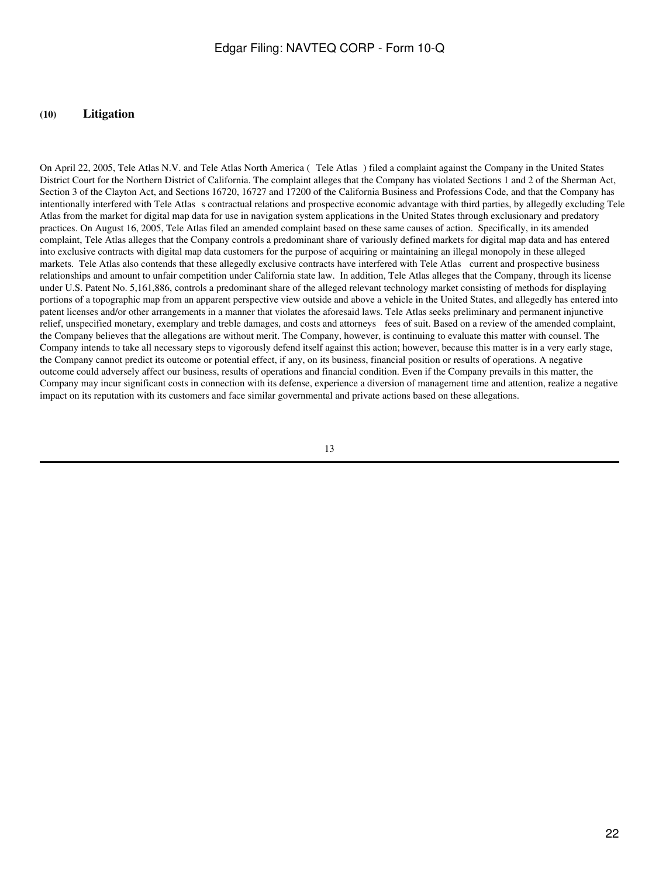#### **(10) Litigation**

On April 22, 2005, Tele Atlas N.V. and Tele Atlas North America (Tele Atlas) filed a complaint against the Company in the United States District Court for the Northern District of California. The complaint alleges that the Company has violated Sections 1 and 2 of the Sherman Act, Section 3 of the Clayton Act, and Sections 16720, 16727 and 17200 of the California Business and Professions Code, and that the Company has intentionally interfered with Tele Atlas s contractual relations and prospective economic advantage with third parties, by allegedly excluding Tele Atlas from the market for digital map data for use in navigation system applications in the United States through exclusionary and predatory practices. On August 16, 2005, Tele Atlas filed an amended complaint based on these same causes of action. Specifically, in its amended complaint, Tele Atlas alleges that the Company controls a predominant share of variously defined markets for digital map data and has entered into exclusive contracts with digital map data customers for the purpose of acquiring or maintaining an illegal monopoly in these alleged markets. Tele Atlas also contends that these allegedly exclusive contracts have interfered with Tele Atlas current and prospective business relationships and amount to unfair competition under California state law. In addition, Tele Atlas alleges that the Company, through its license under U.S. Patent No. 5,161,886, controls a predominant share of the alleged relevant technology market consisting of methods for displaying portions of a topographic map from an apparent perspective view outside and above a vehicle in the United States, and allegedly has entered into patent licenses and/or other arrangements in a manner that violates the aforesaid laws. Tele Atlas seeks preliminary and permanent injunctive relief, unspecified monetary, exemplary and treble damages, and costs and attorneys fees of suit. Based on a review of the amended complaint, the Company believes that the allegations are without merit. The Company, however, is continuing to evaluate this matter with counsel. The Company intends to take all necessary steps to vigorously defend itself against this action; however, because this matter is in a very early stage, the Company cannot predict its outcome or potential effect, if any, on its business, financial position or results of operations. A negative outcome could adversely affect our business, results of operations and financial condition. Even if the Company prevails in this matter, the Company may incur significant costs in connection with its defense, experience a diversion of management time and attention, realize a negative impact on its reputation with its customers and face similar governmental and private actions based on these allegations.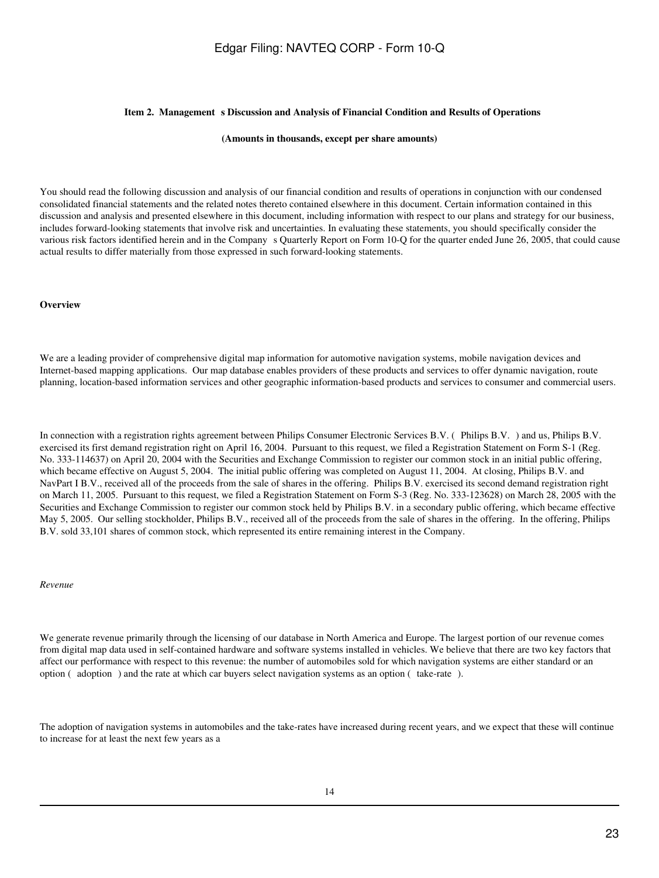#### **Item 2. Management s Discussion and Analysis of Financial Condition and Results of Operations**

#### **(Amounts in thousands, except per share amounts)**

You should read the following discussion and analysis of our financial condition and results of operations in conjunction with our condensed consolidated financial statements and the related notes thereto contained elsewhere in this document. Certain information contained in this discussion and analysis and presented elsewhere in this document, including information with respect to our plans and strategy for our business, includes forward-looking statements that involve risk and uncertainties. In evaluating these statements, you should specifically consider the various risk factors identified herein and in the Company s Quarterly Report on Form 10-Q for the quarter ended June 26, 2005, that could cause actual results to differ materially from those expressed in such forward-looking statements.

#### **Overview**

We are a leading provider of comprehensive digital map information for automotive navigation systems, mobile navigation devices and Internet-based mapping applications. Our map database enables providers of these products and services to offer dynamic navigation, route planning, location-based information services and other geographic information-based products and services to consumer and commercial users.

In connection with a registration rights agreement between Philips Consumer Electronic Services B.V. (Philips B.V.) and us, Philips B.V. exercised its first demand registration right on April 16, 2004. Pursuant to this request, we filed a Registration Statement on Form S-1 (Reg. No. 333-114637) on April 20, 2004 with the Securities and Exchange Commission to register our common stock in an initial public offering, which became effective on August 5, 2004. The initial public offering was completed on August 11, 2004. At closing, Philips B.V. and NavPart I B.V., received all of the proceeds from the sale of shares in the offering. Philips B.V. exercised its second demand registration right on March 11, 2005. Pursuant to this request, we filed a Registration Statement on Form S-3 (Reg. No. 333-123628) on March 28, 2005 with the Securities and Exchange Commission to register our common stock held by Philips B.V. in a secondary public offering, which became effective May 5, 2005. Our selling stockholder, Philips B.V., received all of the proceeds from the sale of shares in the offering. In the offering, Philips B.V. sold 33,101 shares of common stock, which represented its entire remaining interest in the Company.

*Revenue*

We generate revenue primarily through the licensing of our database in North America and Europe. The largest portion of our revenue comes from digital map data used in self-contained hardware and software systems installed in vehicles. We believe that there are two key factors that affect our performance with respect to this revenue: the number of automobiles sold for which navigation systems are either standard or an option ( $\alpha$  adoption) and the rate at which car buyers select navigation systems as an option ( $\alpha$  take-rate).

The adoption of navigation systems in automobiles and the take-rates have increased during recent years, and we expect that these will continue to increase for at least the next few years as a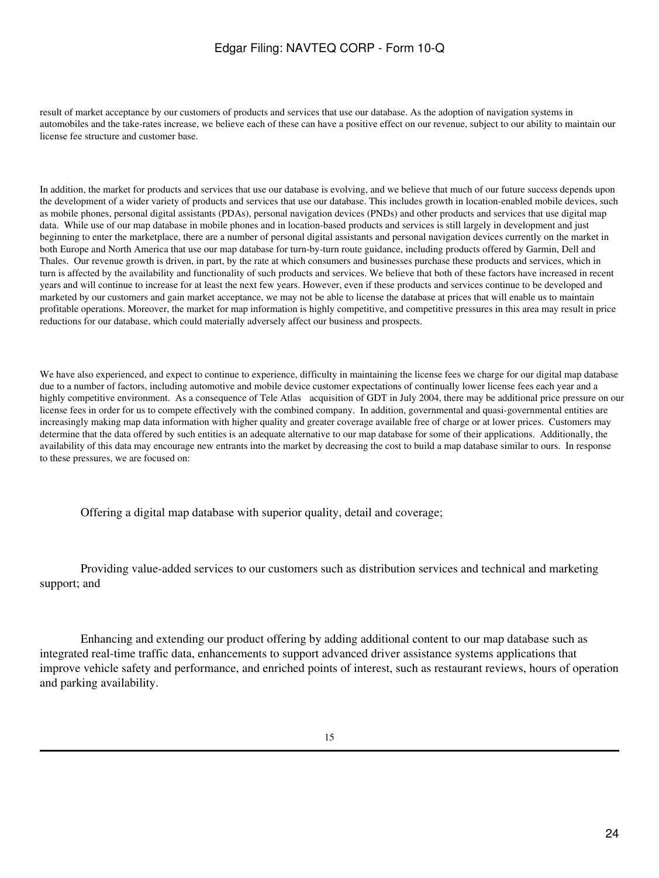result of market acceptance by our customers of products and services that use our database. As the adoption of navigation systems in automobiles and the take-rates increase, we believe each of these can have a positive effect on our revenue, subject to our ability to maintain our license fee structure and customer base.

In addition, the market for products and services that use our database is evolving, and we believe that much of our future success depends upon the development of a wider variety of products and services that use our database. This includes growth in location-enabled mobile devices, such as mobile phones, personal digital assistants (PDAs), personal navigation devices (PNDs) and other products and services that use digital map data. While use of our map database in mobile phones and in location-based products and services is still largely in development and just beginning to enter the marketplace, there are a number of personal digital assistants and personal navigation devices currently on the market in both Europe and North America that use our map database for turn-by-turn route guidance, including products offered by Garmin, Dell and Thales. Our revenue growth is driven, in part, by the rate at which consumers and businesses purchase these products and services, which in turn is affected by the availability and functionality of such products and services. We believe that both of these factors have increased in recent years and will continue to increase for at least the next few years. However, even if these products and services continue to be developed and marketed by our customers and gain market acceptance, we may not be able to license the database at prices that will enable us to maintain profitable operations. Moreover, the market for map information is highly competitive, and competitive pressures in this area may result in price reductions for our database, which could materially adversely affect our business and prospects.

We have also experienced, and expect to continue to experience, difficulty in maintaining the license fees we charge for our digital map database due to a number of factors, including automotive and mobile device customer expectations of continually lower license fees each year and a highly competitive environment. As a consequence of Tele Atlas acquisition of GDT in July 2004, there may be additional price pressure on our license fees in order for us to compete effectively with the combined company. In addition, governmental and quasi-governmental entities are increasingly making map data information with higher quality and greater coverage available free of charge or at lower prices. Customers may determine that the data offered by such entities is an adequate alternative to our map database for some of their applications. Additionally, the availability of this data may encourage new entrants into the market by decreasing the cost to build a map database similar to ours. In response to these pressures, we are focused on:

Offering a digital map database with superior quality, detail and coverage;

 Providing value-added services to our customers such as distribution services and technical and marketing support; and

 Enhancing and extending our product offering by adding additional content to our map database such as integrated real-time traffic data, enhancements to support advanced driver assistance systems applications that improve vehicle safety and performance, and enriched points of interest, such as restaurant reviews, hours of operation and parking availability.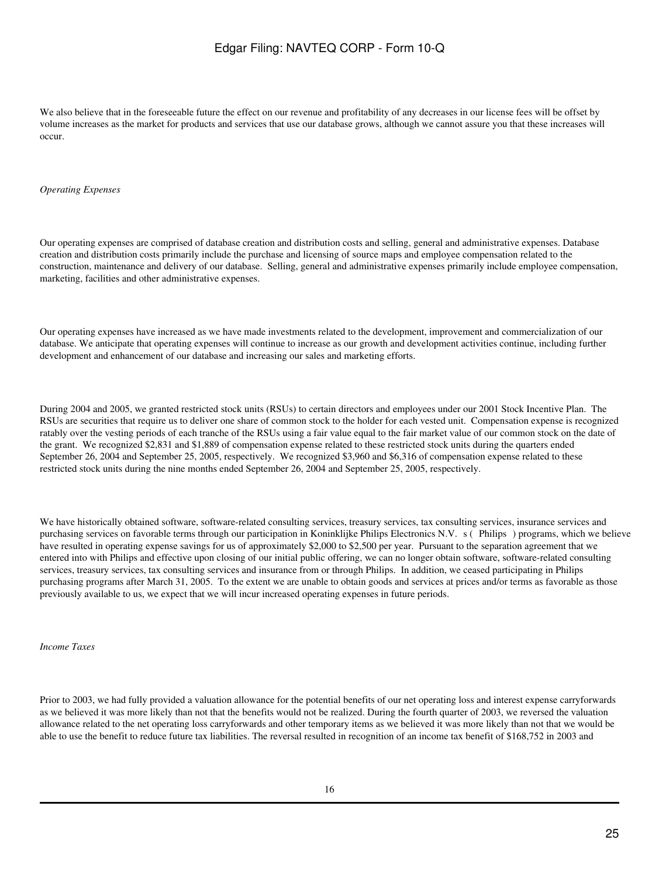We also believe that in the foreseeable future the effect on our revenue and profitability of any decreases in our license fees will be offset by volume increases as the market for products and services that use our database grows, although we cannot assure you that these increases will occur.

#### *Operating Expenses*

Our operating expenses are comprised of database creation and distribution costs and selling, general and administrative expenses. Database creation and distribution costs primarily include the purchase and licensing of source maps and employee compensation related to the construction, maintenance and delivery of our database. Selling, general and administrative expenses primarily include employee compensation, marketing, facilities and other administrative expenses.

Our operating expenses have increased as we have made investments related to the development, improvement and commercialization of our database. We anticipate that operating expenses will continue to increase as our growth and development activities continue, including further development and enhancement of our database and increasing our sales and marketing efforts.

During 2004 and 2005, we granted restricted stock units (RSUs) to certain directors and employees under our 2001 Stock Incentive Plan. The RSUs are securities that require us to deliver one share of common stock to the holder for each vested unit. Compensation expense is recognized ratably over the vesting periods of each tranche of the RSUs using a fair value equal to the fair market value of our common stock on the date of the grant. We recognized \$2,831 and \$1,889 of compensation expense related to these restricted stock units during the quarters ended September 26, 2004 and September 25, 2005, respectively. We recognized \$3,960 and \$6,316 of compensation expense related to these restricted stock units during the nine months ended September 26, 2004 and September 25, 2005, respectively.

We have historically obtained software, software-related consulting services, treasury services, tax consulting services, insurance services and purchasing services on favorable terms through our participation in Koninklijke Philips Electronics N.V. s (Philips) programs, which we believe have resulted in operating expense savings for us of approximately \$2,000 to \$2,500 per year. Pursuant to the separation agreement that we entered into with Philips and effective upon closing of our initial public offering, we can no longer obtain software, software-related consulting services, treasury services, tax consulting services and insurance from or through Philips. In addition, we ceased participating in Philips purchasing programs after March 31, 2005. To the extent we are unable to obtain goods and services at prices and/or terms as favorable as those previously available to us, we expect that we will incur increased operating expenses in future periods.

*Income Taxes*

Prior to 2003, we had fully provided a valuation allowance for the potential benefits of our net operating loss and interest expense carryforwards as we believed it was more likely than not that the benefits would not be realized. During the fourth quarter of 2003, we reversed the valuation allowance related to the net operating loss carryforwards and other temporary items as we believed it was more likely than not that we would be able to use the benefit to reduce future tax liabilities. The reversal resulted in recognition of an income tax benefit of \$168,752 in 2003 and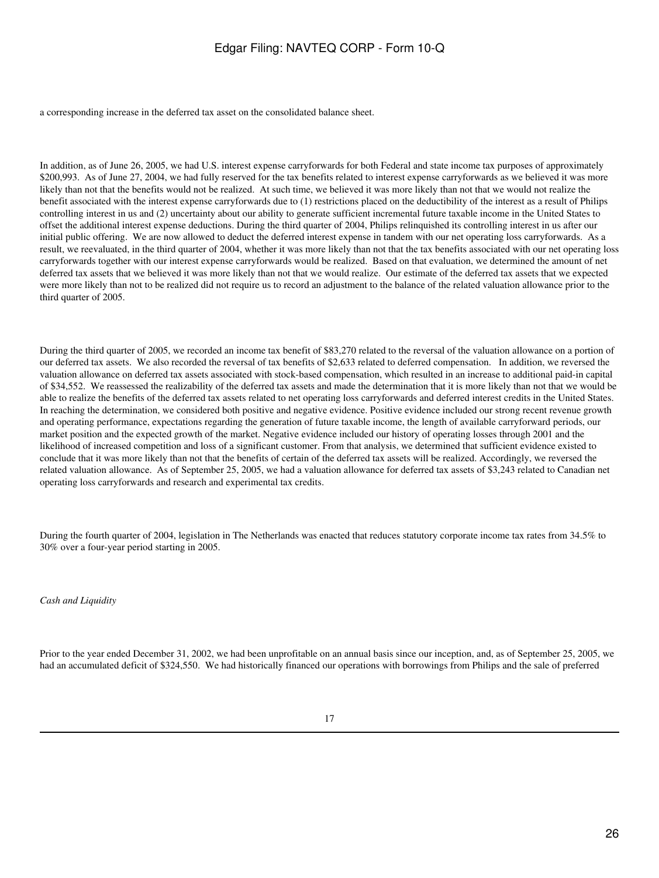a corresponding increase in the deferred tax asset on the consolidated balance sheet.

In addition, as of June 26, 2005, we had U.S. interest expense carryforwards for both Federal and state income tax purposes of approximately \$200,993. As of June 27, 2004, we had fully reserved for the tax benefits related to interest expense carryforwards as we believed it was more likely than not that the benefits would not be realized. At such time, we believed it was more likely than not that we would not realize the benefit associated with the interest expense carryforwards due to (1) restrictions placed on the deductibility of the interest as a result of Philips controlling interest in us and (2) uncertainty about our ability to generate sufficient incremental future taxable income in the United States to offset the additional interest expense deductions. During the third quarter of 2004, Philips relinquished its controlling interest in us after our initial public offering. We are now allowed to deduct the deferred interest expense in tandem with our net operating loss carryforwards. As a result, we reevaluated, in the third quarter of 2004, whether it was more likely than not that the tax benefits associated with our net operating loss carryforwards together with our interest expense carryforwards would be realized. Based on that evaluation, we determined the amount of net deferred tax assets that we believed it was more likely than not that we would realize. Our estimate of the deferred tax assets that we expected were more likely than not to be realized did not require us to record an adjustment to the balance of the related valuation allowance prior to the third quarter of 2005.

During the third quarter of 2005, we recorded an income tax benefit of \$83,270 related to the reversal of the valuation allowance on a portion of our deferred tax assets. We also recorded the reversal of tax benefits of \$2,633 related to deferred compensation. In addition, we reversed the valuation allowance on deferred tax assets associated with stock-based compensation, which resulted in an increase to additional paid-in capital of \$34,552. We reassessed the realizability of the deferred tax assets and made the determination that it is more likely than not that we would be able to realize the benefits of the deferred tax assets related to net operating loss carryforwards and deferred interest credits in the United States. In reaching the determination, we considered both positive and negative evidence. Positive evidence included our strong recent revenue growth and operating performance, expectations regarding the generation of future taxable income, the length of available carryforward periods, our market position and the expected growth of the market. Negative evidence included our history of operating losses through 2001 and the likelihood of increased competition and loss of a significant customer. From that analysis, we determined that sufficient evidence existed to conclude that it was more likely than not that the benefits of certain of the deferred tax assets will be realized. Accordingly, we reversed the related valuation allowance. As of September 25, 2005, we had a valuation allowance for deferred tax assets of \$3,243 related to Canadian net operating loss carryforwards and research and experimental tax credits.

During the fourth quarter of 2004, legislation in The Netherlands was enacted that reduces statutory corporate income tax rates from 34.5% to 30% over a four-year period starting in 2005.

*Cash and Liquidity*

Prior to the year ended December 31, 2002, we had been unprofitable on an annual basis since our inception, and, as of September 25, 2005, we had an accumulated deficit of \$324,550. We had historically financed our operations with borrowings from Philips and the sale of preferred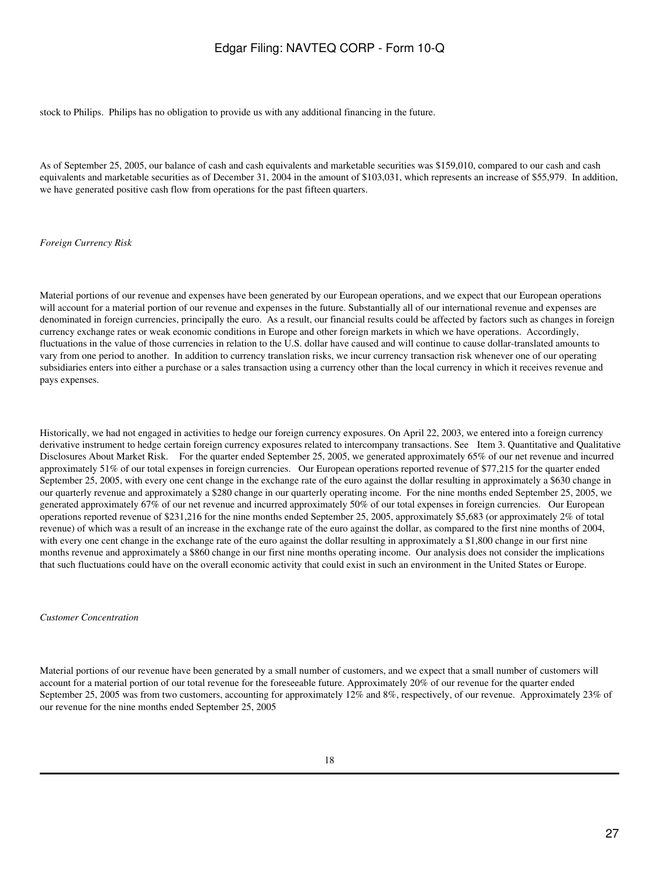stock to Philips. Philips has no obligation to provide us with any additional financing in the future.

As of September 25, 2005, our balance of cash and cash equivalents and marketable securities was \$159,010, compared to our cash and cash equivalents and marketable securities as of December 31, 2004 in the amount of \$103,031, which represents an increase of \$55,979. In addition, we have generated positive cash flow from operations for the past fifteen quarters.

*Foreign Currency Risk*

Material portions of our revenue and expenses have been generated by our European operations, and we expect that our European operations will account for a material portion of our revenue and expenses in the future. Substantially all of our international revenue and expenses are denominated in foreign currencies, principally the euro. As a result, our financial results could be affected by factors such as changes in foreign currency exchange rates or weak economic conditions in Europe and other foreign markets in which we have operations. Accordingly, fluctuations in the value of those currencies in relation to the U.S. dollar have caused and will continue to cause dollar-translated amounts to vary from one period to another. In addition to currency translation risks, we incur currency transaction risk whenever one of our operating subsidiaries enters into either a purchase or a sales transaction using a currency other than the local currency in which it receives revenue and pays expenses.

Historically, we had not engaged in activities to hedge our foreign currency exposures. On April 22, 2003, we entered into a foreign currency derivative instrument to hedge certain foreign currency exposures related to intercompany transactions. See Item 3. Quantitative and Qualitative Disclosures About Market Risk. For the quarter ended September 25, 2005, we generated approximately 65% of our net revenue and incurred approximately 51% of our total expenses in foreign currencies. Our European operations reported revenue of \$77,215 for the quarter ended September 25, 2005, with every one cent change in the exchange rate of the euro against the dollar resulting in approximately a \$630 change in our quarterly revenue and approximately a \$280 change in our quarterly operating income. For the nine months ended September 25, 2005, we generated approximately 67% of our net revenue and incurred approximately 50% of our total expenses in foreign currencies. Our European operations reported revenue of \$231,216 for the nine months ended September 25, 2005, approximately \$5,683 (or approximately 2% of total revenue) of which was a result of an increase in the exchange rate of the euro against the dollar, as compared to the first nine months of 2004, with every one cent change in the exchange rate of the euro against the dollar resulting in approximately a \$1,800 change in our first nine months revenue and approximately a \$860 change in our first nine months operating income. Our analysis does not consider the implications that such fluctuations could have on the overall economic activity that could exist in such an environment in the United States or Europe.

*Customer Concentration*

Material portions of our revenue have been generated by a small number of customers, and we expect that a small number of customers will account for a material portion of our total revenue for the foreseeable future. Approximately 20% of our revenue for the quarter ended September 25, 2005 was from two customers, accounting for approximately 12% and 8%, respectively, of our revenue. Approximately 23% of our revenue for the nine months ended September 25, 2005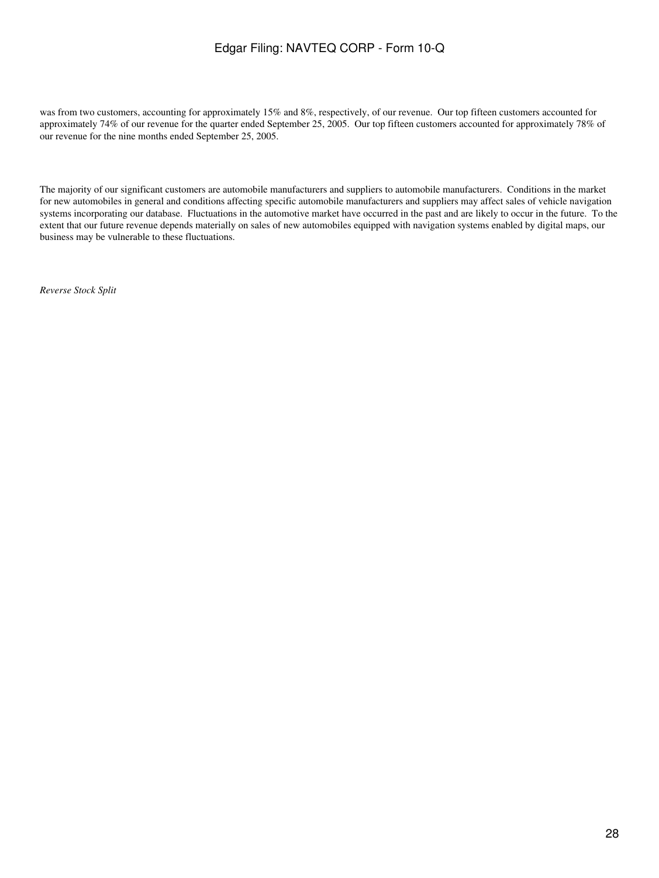was from two customers, accounting for approximately 15% and 8%, respectively, of our revenue. Our top fifteen customers accounted for approximately 74% of our revenue for the quarter ended September 25, 2005. Our top fifteen customers accounted for approximately 78% of our revenue for the nine months ended September 25, 2005.

The majority of our significant customers are automobile manufacturers and suppliers to automobile manufacturers. Conditions in the market for new automobiles in general and conditions affecting specific automobile manufacturers and suppliers may affect sales of vehicle navigation systems incorporating our database. Fluctuations in the automotive market have occurred in the past and are likely to occur in the future. To the extent that our future revenue depends materially on sales of new automobiles equipped with navigation systems enabled by digital maps, our business may be vulnerable to these fluctuations.

*Reverse Stock Split*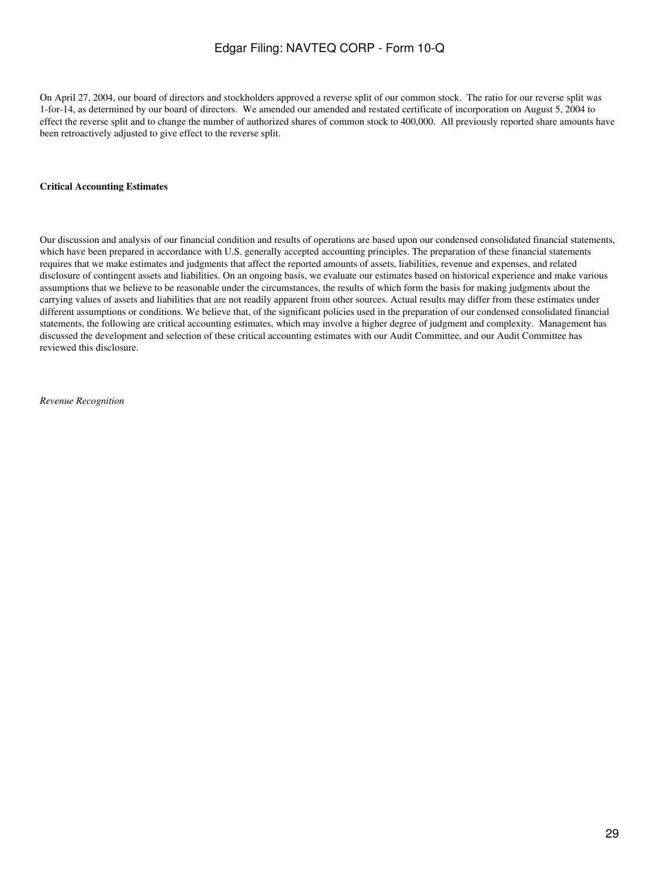On April 27, 2004, our board of directors and stockholders approved a reverse split of our common stock. The ratio for our reverse split was 1-for-14, as determined by our board of directors. We amended our amended and restated certificate of incorporation on August 5, 2004 to effect the reverse split and to change the number of authorized shares of common stock to 400,000. All previously reported share amounts have been retroactively adjusted to give effect to the reverse split.

#### **Critical Accounting Estimates**

Our discussion and analysis of our financial condition and results of operations are based upon our condensed consolidated financial statements, which have been prepared in accordance with U.S. generally accepted accounting principles. The preparation of these financial statements requires that we make estimates and judgments that affect the reported amounts of assets, liabilities, revenue and expenses, and related disclosure of contingent assets and liabilities. On an ongoing basis, we evaluate our estimates based on historical experience and make various assumptions that we believe to be reasonable under the circumstances, the results of which form the basis for making judgments about the carrying values of assets and liabilities that are not readily apparent from other sources. Actual results may differ from these estimates under different assumptions or conditions. We believe that, of the significant policies used in the preparation of our condensed consolidated financial statements, the following are critical accounting estimates, which may involve a higher degree of judgment and complexity. Management has discussed the development and selection of these critical accounting estimates with our Audit Committee, and our Audit Committee has reviewed this disclosure.

*Revenue Recognition*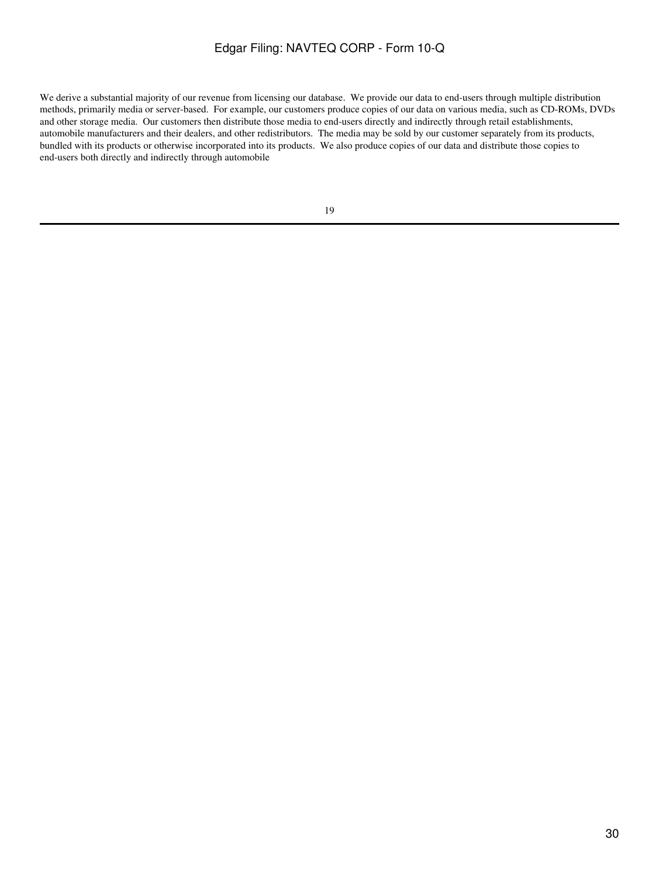We derive a substantial majority of our revenue from licensing our database. We provide our data to end-users through multiple distribution methods, primarily media or server-based. For example, our customers produce copies of our data on various media, such as CD-ROMs, DVDs and other storage media. Our customers then distribute those media to end-users directly and indirectly through retail establishments, automobile manufacturers and their dealers, and other redistributors. The media may be sold by our customer separately from its products, bundled with its products or otherwise incorporated into its products. We also produce copies of our data and distribute those copies to end-users both directly and indirectly through automobile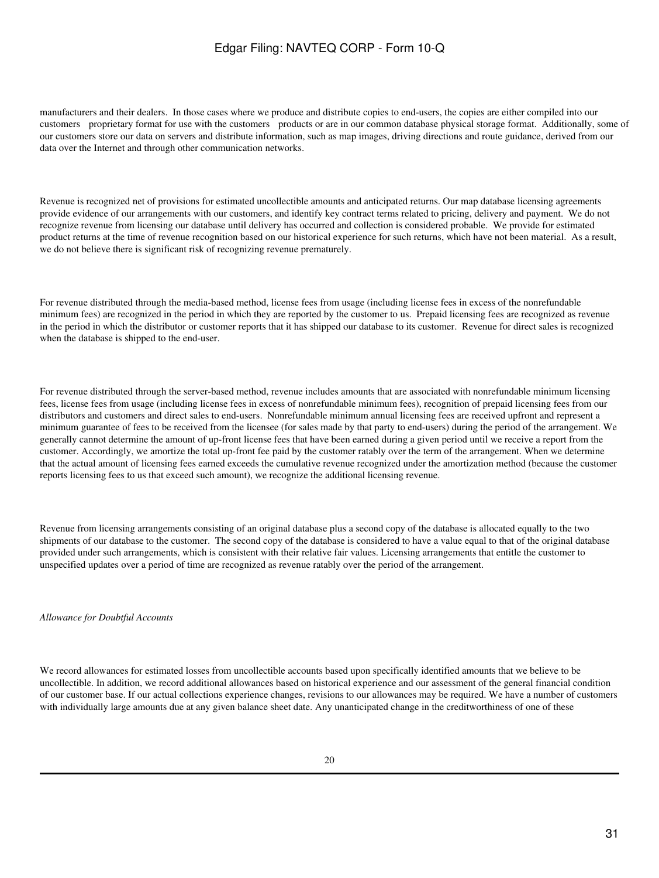manufacturers and their dealers. In those cases where we produce and distribute copies to end-users, the copies are either compiled into our customers proprietary format for use with the customers products or are in our common database physical storage format. Additionally, some of our customers store our data on servers and distribute information, such as map images, driving directions and route guidance, derived from our data over the Internet and through other communication networks.

Revenue is recognized net of provisions for estimated uncollectible amounts and anticipated returns. Our map database licensing agreements provide evidence of our arrangements with our customers, and identify key contract terms related to pricing, delivery and payment. We do not recognize revenue from licensing our database until delivery has occurred and collection is considered probable. We provide for estimated product returns at the time of revenue recognition based on our historical experience for such returns, which have not been material. As a result, we do not believe there is significant risk of recognizing revenue prematurely.

For revenue distributed through the media-based method, license fees from usage (including license fees in excess of the nonrefundable minimum fees) are recognized in the period in which they are reported by the customer to us. Prepaid licensing fees are recognized as revenue in the period in which the distributor or customer reports that it has shipped our database to its customer. Revenue for direct sales is recognized when the database is shipped to the end-user.

For revenue distributed through the server-based method, revenue includes amounts that are associated with nonrefundable minimum licensing fees, license fees from usage (including license fees in excess of nonrefundable minimum fees), recognition of prepaid licensing fees from our distributors and customers and direct sales to end-users. Nonrefundable minimum annual licensing fees are received upfront and represent a minimum guarantee of fees to be received from the licensee (for sales made by that party to end-users) during the period of the arrangement. We generally cannot determine the amount of up-front license fees that have been earned during a given period until we receive a report from the customer. Accordingly, we amortize the total up-front fee paid by the customer ratably over the term of the arrangement. When we determine that the actual amount of licensing fees earned exceeds the cumulative revenue recognized under the amortization method (because the customer reports licensing fees to us that exceed such amount), we recognize the additional licensing revenue.

Revenue from licensing arrangements consisting of an original database plus a second copy of the database is allocated equally to the two shipments of our database to the customer. The second copy of the database is considered to have a value equal to that of the original database provided under such arrangements, which is consistent with their relative fair values. Licensing arrangements that entitle the customer to unspecified updates over a period of time are recognized as revenue ratably over the period of the arrangement.

*Allowance for Doubtful Accounts*

We record allowances for estimated losses from uncollectible accounts based upon specifically identified amounts that we believe to be uncollectible. In addition, we record additional allowances based on historical experience and our assessment of the general financial condition of our customer base. If our actual collections experience changes, revisions to our allowances may be required. We have a number of customers with individually large amounts due at any given balance sheet date. Any unanticipated change in the creditworthiness of one of these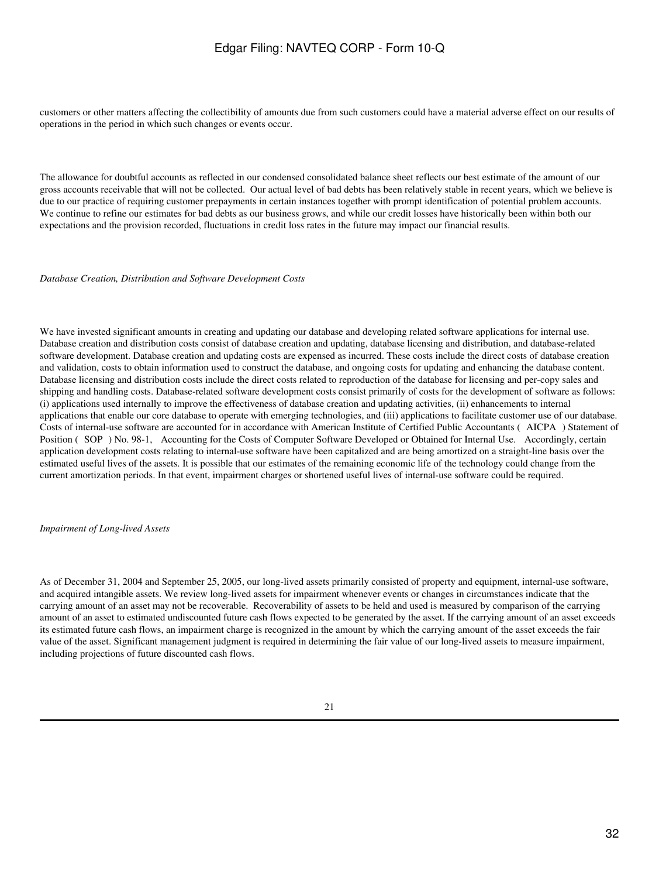customers or other matters affecting the collectibility of amounts due from such customers could have a material adverse effect on our results of operations in the period in which such changes or events occur.

The allowance for doubtful accounts as reflected in our condensed consolidated balance sheet reflects our best estimate of the amount of our gross accounts receivable that will not be collected. Our actual level of bad debts has been relatively stable in recent years, which we believe is due to our practice of requiring customer prepayments in certain instances together with prompt identification of potential problem accounts. We continue to refine our estimates for bad debts as our business grows, and while our credit losses have historically been within both our expectations and the provision recorded, fluctuations in credit loss rates in the future may impact our financial results.

*Database Creation, Distribution and Software Development Costs*

We have invested significant amounts in creating and updating our database and developing related software applications for internal use. Database creation and distribution costs consist of database creation and updating, database licensing and distribution, and database-related software development. Database creation and updating costs are expensed as incurred. These costs include the direct costs of database creation and validation, costs to obtain information used to construct the database, and ongoing costs for updating and enhancing the database content. Database licensing and distribution costs include the direct costs related to reproduction of the database for licensing and per-copy sales and shipping and handling costs. Database-related software development costs consist primarily of costs for the development of software as follows: (i) applications used internally to improve the effectiveness of database creation and updating activities, (ii) enhancements to internal applications that enable our core database to operate with emerging technologies, and (iii) applications to facilitate customer use of our database. Costs of internal-use software are accounted for in accordance with American Institute of Certified Public Accountants (AICPA) Statement of Position (SOP) No. 98-1, Accounting for the Costs of Computer Software Developed or Obtained for Internal Use. Accordingly, certain application development costs relating to internal-use software have been capitalized and are being amortized on a straight-line basis over the estimated useful lives of the assets. It is possible that our estimates of the remaining economic life of the technology could change from the current amortization periods. In that event, impairment charges or shortened useful lives of internal-use software could be required.

#### *Impairment of Long-lived Assets*

As of December 31, 2004 and September 25, 2005, our long-lived assets primarily consisted of property and equipment, internal-use software, and acquired intangible assets. We review long-lived assets for impairment whenever events or changes in circumstances indicate that the carrying amount of an asset may not be recoverable. Recoverability of assets to be held and used is measured by comparison of the carrying amount of an asset to estimated undiscounted future cash flows expected to be generated by the asset. If the carrying amount of an asset exceeds its estimated future cash flows, an impairment charge is recognized in the amount by which the carrying amount of the asset exceeds the fair value of the asset. Significant management judgment is required in determining the fair value of our long-lived assets to measure impairment, including projections of future discounted cash flows.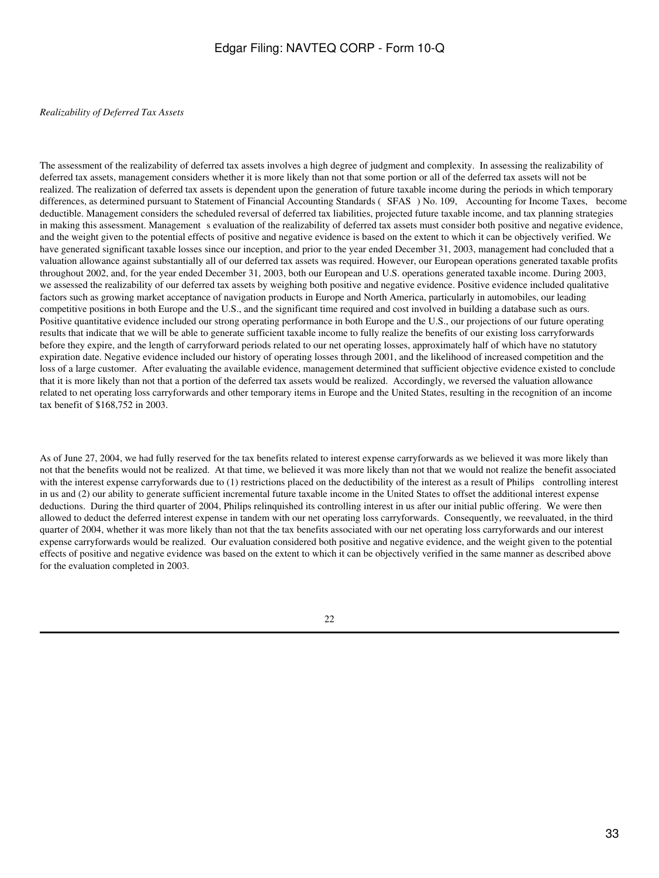#### *Realizability of Deferred Tax Assets*

The assessment of the realizability of deferred tax assets involves a high degree of judgment and complexity. In assessing the realizability of deferred tax assets, management considers whether it is more likely than not that some portion or all of the deferred tax assets will not be realized. The realization of deferred tax assets is dependent upon the generation of future taxable income during the periods in which temporary differences, as determined pursuant to Statement of Financial Accounting Standards (SFAS) No. 109, Accounting for Income Taxes, become deductible. Management considers the scheduled reversal of deferred tax liabilities, projected future taxable income, and tax planning strategies in making this assessment. Management s evaluation of the realizability of deferred tax assets must consider both positive and negative evidence, and the weight given to the potential effects of positive and negative evidence is based on the extent to which it can be objectively verified. We have generated significant taxable losses since our inception, and prior to the year ended December 31, 2003, management had concluded that a valuation allowance against substantially all of our deferred tax assets was required. However, our European operations generated taxable profits throughout 2002, and, for the year ended December 31, 2003, both our European and U.S. operations generated taxable income. During 2003, we assessed the realizability of our deferred tax assets by weighing both positive and negative evidence. Positive evidence included qualitative factors such as growing market acceptance of navigation products in Europe and North America, particularly in automobiles, our leading competitive positions in both Europe and the U.S., and the significant time required and cost involved in building a database such as ours. Positive quantitative evidence included our strong operating performance in both Europe and the U.S., our projections of our future operating results that indicate that we will be able to generate sufficient taxable income to fully realize the benefits of our existing loss carryforwards before they expire, and the length of carryforward periods related to our net operating losses, approximately half of which have no statutory expiration date. Negative evidence included our history of operating losses through 2001, and the likelihood of increased competition and the loss of a large customer. After evaluating the available evidence, management determined that sufficient objective evidence existed to conclude that it is more likely than not that a portion of the deferred tax assets would be realized. Accordingly, we reversed the valuation allowance related to net operating loss carryforwards and other temporary items in Europe and the United States, resulting in the recognition of an income tax benefit of \$168,752 in 2003.

As of June 27, 2004, we had fully reserved for the tax benefits related to interest expense carryforwards as we believed it was more likely than not that the benefits would not be realized. At that time, we believed it was more likely than not that we would not realize the benefit associated with the interest expense carryforwards due to (1) restrictions placed on the deductibility of the interest as a result of Philips controlling interest in us and (2) our ability to generate sufficient incremental future taxable income in the United States to offset the additional interest expense deductions. During the third quarter of 2004, Philips relinquished its controlling interest in us after our initial public offering. We were then allowed to deduct the deferred interest expense in tandem with our net operating loss carryforwards. Consequently, we reevaluated, in the third quarter of 2004, whether it was more likely than not that the tax benefits associated with our net operating loss carryforwards and our interest expense carryforwards would be realized. Our evaluation considered both positive and negative evidence, and the weight given to the potential effects of positive and negative evidence was based on the extent to which it can be objectively verified in the same manner as described above for the evaluation completed in 2003.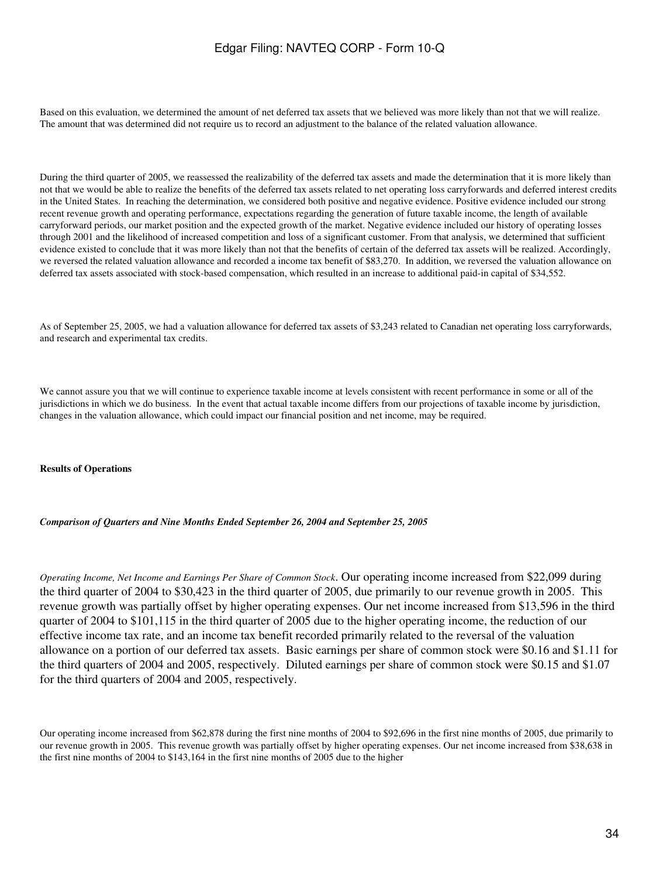Based on this evaluation, we determined the amount of net deferred tax assets that we believed was more likely than not that we will realize. The amount that was determined did not require us to record an adjustment to the balance of the related valuation allowance.

During the third quarter of 2005, we reassessed the realizability of the deferred tax assets and made the determination that it is more likely than not that we would be able to realize the benefits of the deferred tax assets related to net operating loss carryforwards and deferred interest credits in the United States. In reaching the determination, we considered both positive and negative evidence. Positive evidence included our strong recent revenue growth and operating performance, expectations regarding the generation of future taxable income, the length of available carryforward periods, our market position and the expected growth of the market. Negative evidence included our history of operating losses through 2001 and the likelihood of increased competition and loss of a significant customer. From that analysis, we determined that sufficient evidence existed to conclude that it was more likely than not that the benefits of certain of the deferred tax assets will be realized. Accordingly, we reversed the related valuation allowance and recorded a income tax benefit of \$83,270. In addition, we reversed the valuation allowance on deferred tax assets associated with stock-based compensation, which resulted in an increase to additional paid-in capital of \$34,552.

As of September 25, 2005, we had a valuation allowance for deferred tax assets of \$3,243 related to Canadian net operating loss carryforwards, and research and experimental tax credits.

We cannot assure you that we will continue to experience taxable income at levels consistent with recent performance in some or all of the jurisdictions in which we do business. In the event that actual taxable income differs from our projections of taxable income by jurisdiction, changes in the valuation allowance, which could impact our financial position and net income, may be required.

#### **Results of Operations**

### *Comparison of Quarters and Nine Months Ended September 26, 2004 and September 25, 2005*

*Operating Income, Net Income and Earnings Per Share of Common Stock*. Our operating income increased from \$22,099 during the third quarter of 2004 to \$30,423 in the third quarter of 2005, due primarily to our revenue growth in 2005. This revenue growth was partially offset by higher operating expenses. Our net income increased from \$13,596 in the third quarter of 2004 to \$101,115 in the third quarter of 2005 due to the higher operating income, the reduction of our effective income tax rate, and an income tax benefit recorded primarily related to the reversal of the valuation allowance on a portion of our deferred tax assets. Basic earnings per share of common stock were \$0.16 and \$1.11 for the third quarters of 2004 and 2005, respectively. Diluted earnings per share of common stock were \$0.15 and \$1.07 for the third quarters of 2004 and 2005, respectively.

Our operating income increased from \$62,878 during the first nine months of 2004 to \$92,696 in the first nine months of 2005, due primarily to our revenue growth in 2005. This revenue growth was partially offset by higher operating expenses. Our net income increased from \$38,638 in the first nine months of 2004 to \$143,164 in the first nine months of 2005 due to the higher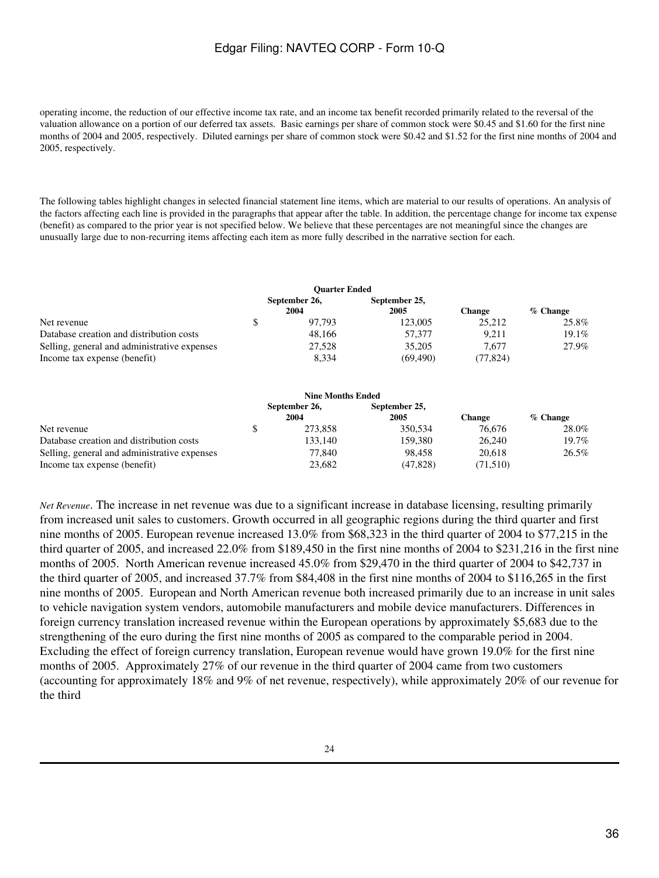operating income, the reduction of our effective income tax rate, and an income tax benefit recorded primarily related to the reversal of the valuation allowance on a portion of our deferred tax assets. Basic earnings per share of common stock were \$0.45 and \$1.60 for the first nine months of 2004 and 2005, respectively. Diluted earnings per share of common stock were \$0.42 and \$1.52 for the first nine months of 2004 and 2005, respectively.

The following tables highlight changes in selected financial statement line items, which are material to our results of operations. An analysis of the factors affecting each line is provided in the paragraphs that appear after the table. In addition, the percentage change for income tax expense (benefit) as compared to the prior year is not specified below. We believe that these percentages are not meaningful since the changes are unusually large due to non-recurring items affecting each item as more fully described in the narrative section for each.

|                                              | <b>Ouarter Ended</b>  |                       |               |            |
|----------------------------------------------|-----------------------|-----------------------|---------------|------------|
|                                              | September 26,<br>2004 | September 25,<br>2005 | <b>Change</b> | $%$ Change |
| Net revenue                                  | 97.793                | 123,005               | 25.212        | 25.8%      |
| Database creation and distribution costs     | 48.166                | 57,377                | 9.211         | 19.1%      |
| Selling, general and administrative expenses | 27,528                | 35,205                | 7.677         | 27.9%      |
| Income tax expense (benefit)                 | 8.334                 | (69, 490)             | (77, 824)     |            |

|                                              | <b>Nine Months Ended</b> |                       |          |            |
|----------------------------------------------|--------------------------|-----------------------|----------|------------|
|                                              | September 26,<br>2004    | September 25,<br>2005 | Change   | $%$ Change |
| Net revenue                                  | 273,858                  | 350.534               | 76.676   | 28.0%      |
| Database creation and distribution costs     | 133.140                  | 159.380               | 26,240   | 19.7%      |
| Selling, general and administrative expenses | 77.840                   | 98.458                | 20.618   | 26.5%      |
| Income tax expense (benefit)                 | 23,682                   | (47, 828)             | (71,510) |            |

*Net Revenue*. The increase in net revenue was due to a significant increase in database licensing, resulting primarily from increased unit sales to customers. Growth occurred in all geographic regions during the third quarter and first nine months of 2005. European revenue increased 13.0% from \$68,323 in the third quarter of 2004 to \$77,215 in the third quarter of 2005, and increased 22.0% from \$189,450 in the first nine months of 2004 to \$231,216 in the first nine months of 2005. North American revenue increased 45.0% from \$29,470 in the third quarter of 2004 to \$42,737 in the third quarter of 2005, and increased 37.7% from \$84,408 in the first nine months of 2004 to \$116,265 in the first nine months of 2005. European and North American revenue both increased primarily due to an increase in unit sales to vehicle navigation system vendors, automobile manufacturers and mobile device manufacturers. Differences in foreign currency translation increased revenue within the European operations by approximately \$5,683 due to the strengthening of the euro during the first nine months of 2005 as compared to the comparable period in 2004. Excluding the effect of foreign currency translation, European revenue would have grown 19.0% for the first nine months of 2005. Approximately 27% of our revenue in the third quarter of 2004 came from two customers (accounting for approximately 18% and 9% of net revenue, respectively), while approximately 20% of our revenue for the third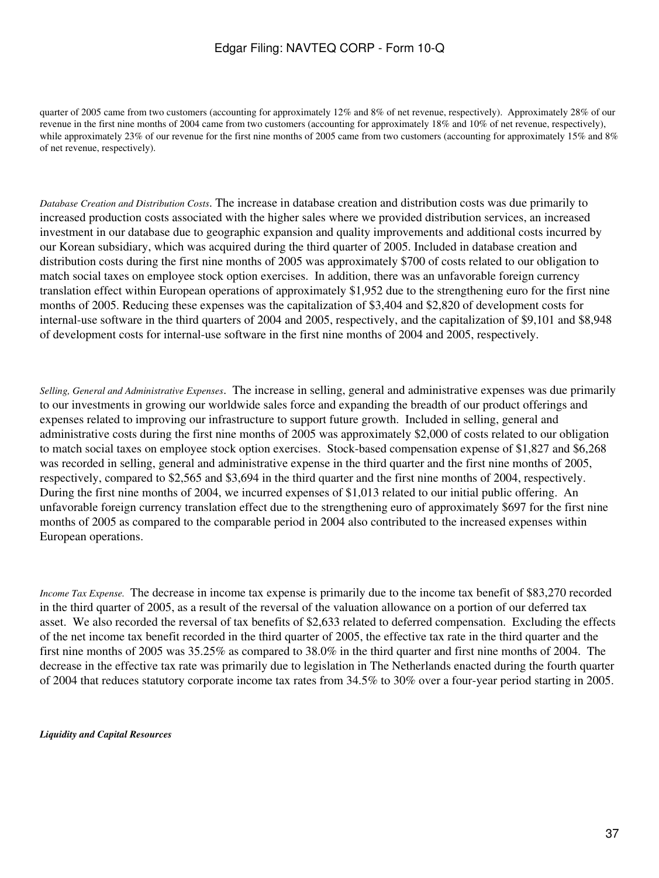quarter of 2005 came from two customers (accounting for approximately 12% and 8% of net revenue, respectively). Approximately 28% of our revenue in the first nine months of 2004 came from two customers (accounting for approximately 18% and 10% of net revenue, respectively), while approximately 23% of our revenue for the first nine months of 2005 came from two customers (accounting for approximately 15% and 8%) of net revenue, respectively).

*Database Creation and Distribution Costs*. The increase in database creation and distribution costs was due primarily to increased production costs associated with the higher sales where we provided distribution services, an increased investment in our database due to geographic expansion and quality improvements and additional costs incurred by our Korean subsidiary, which was acquired during the third quarter of 2005. Included in database creation and distribution costs during the first nine months of 2005 was approximately \$700 of costs related to our obligation to match social taxes on employee stock option exercises. In addition, there was an unfavorable foreign currency translation effect within European operations of approximately \$1,952 due to the strengthening euro for the first nine months of 2005. Reducing these expenses was the capitalization of \$3,404 and \$2,820 of development costs for internal-use software in the third quarters of 2004 and 2005, respectively, and the capitalization of \$9,101 and \$8,948 of development costs for internal-use software in the first nine months of 2004 and 2005, respectively.

*Selling, General and Administrative Expenses*. The increase in selling, general and administrative expenses was due primarily to our investments in growing our worldwide sales force and expanding the breadth of our product offerings and expenses related to improving our infrastructure to support future growth. Included in selling, general and administrative costs during the first nine months of 2005 was approximately \$2,000 of costs related to our obligation to match social taxes on employee stock option exercises. Stock-based compensation expense of \$1,827 and \$6,268 was recorded in selling, general and administrative expense in the third quarter and the first nine months of 2005, respectively, compared to \$2,565 and \$3,694 in the third quarter and the first nine months of 2004, respectively. During the first nine months of 2004, we incurred expenses of \$1,013 related to our initial public offering. An unfavorable foreign currency translation effect due to the strengthening euro of approximately \$697 for the first nine months of 2005 as compared to the comparable period in 2004 also contributed to the increased expenses within European operations.

*Income Tax Expense.* The decrease in income tax expense is primarily due to the income tax benefit of \$83,270 recorded in the third quarter of 2005, as a result of the reversal of the valuation allowance on a portion of our deferred tax asset. We also recorded the reversal of tax benefits of \$2,633 related to deferred compensation. Excluding the effects of the net income tax benefit recorded in the third quarter of 2005, the effective tax rate in the third quarter and the first nine months of 2005 was 35.25% as compared to 38.0% in the third quarter and first nine months of 2004. The decrease in the effective tax rate was primarily due to legislation in The Netherlands enacted during the fourth quarter of 2004 that reduces statutory corporate income tax rates from 34.5% to 30% over a four-year period starting in 2005.

*Liquidity and Capital Resources*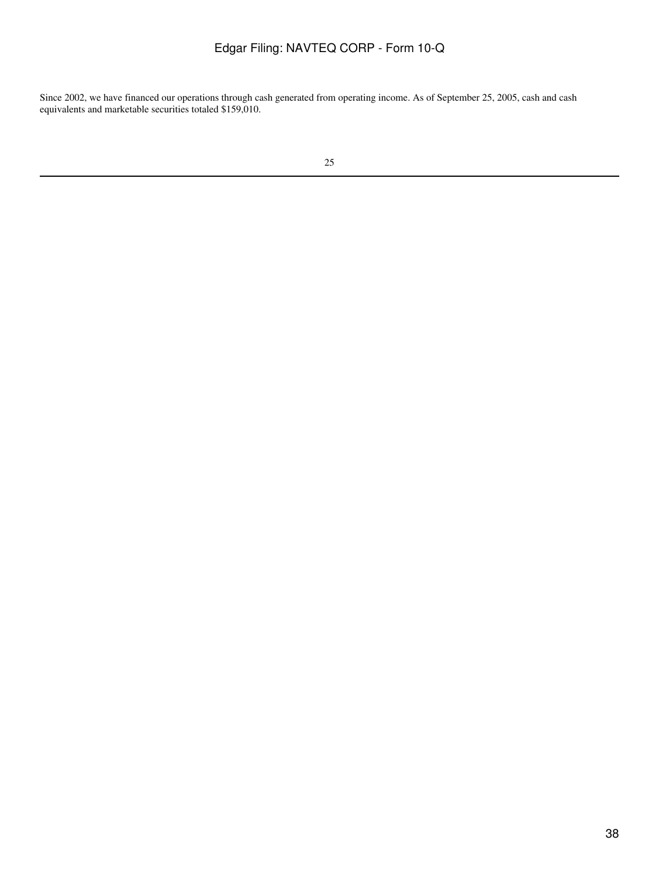Since 2002, we have financed our operations through cash generated from operating income. As of September 25, 2005, cash and cash equivalents and marketable securities totaled \$159,010.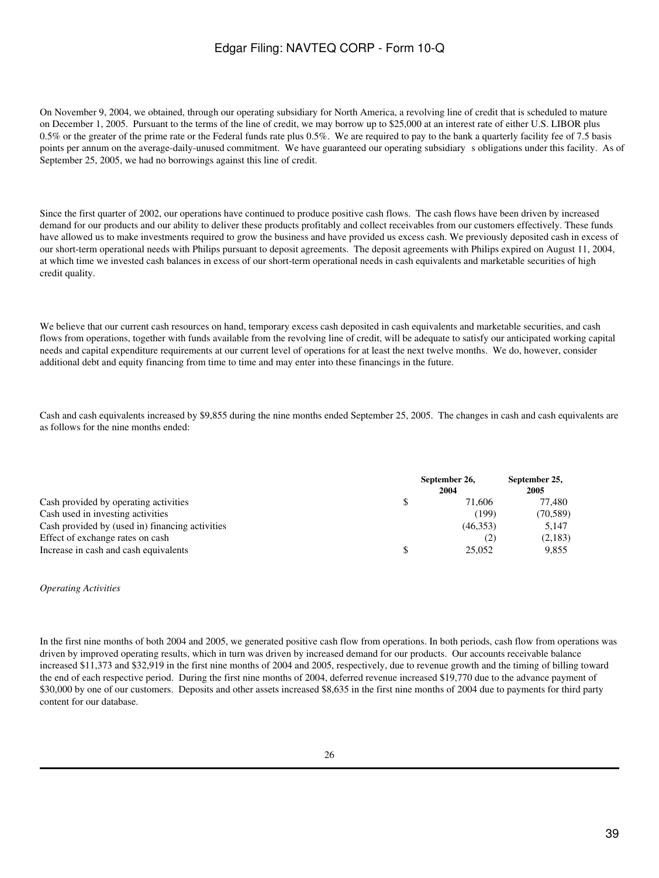On November 9, 2004, we obtained, through our operating subsidiary for North America, a revolving line of credit that is scheduled to mature on December 1, 2005. Pursuant to the terms of the line of credit, we may borrow up to \$25,000 at an interest rate of either U.S. LIBOR plus 0.5% or the greater of the prime rate or the Federal funds rate plus 0.5%. We are required to pay to the bank a quarterly facility fee of 7.5 basis points per annum on the average-daily-unused commitment. We have guaranteed our operating subsidiary s obligations under this facility. As of September 25, 2005, we had no borrowings against this line of credit.

Since the first quarter of 2002, our operations have continued to produce positive cash flows. The cash flows have been driven by increased demand for our products and our ability to deliver these products profitably and collect receivables from our customers effectively. These funds have allowed us to make investments required to grow the business and have provided us excess cash. We previously deposited cash in excess of our short-term operational needs with Philips pursuant to deposit agreements. The deposit agreements with Philips expired on August 11, 2004, at which time we invested cash balances in excess of our short-term operational needs in cash equivalents and marketable securities of high credit quality.

We believe that our current cash resources on hand, temporary excess cash deposited in cash equivalents and marketable securities, and cash flows from operations, together with funds available from the revolving line of credit, will be adequate to satisfy our anticipated working capital needs and capital expenditure requirements at our current level of operations for at least the next twelve months. We do, however, consider additional debt and equity financing from time to time and may enter into these financings in the future.

Cash and cash equivalents increased by \$9,855 during the nine months ended September 25, 2005. The changes in cash and cash equivalents are as follows for the nine months ended:

|                                                 | September 26,<br>2004 | September 25,<br>2005 |
|-------------------------------------------------|-----------------------|-----------------------|
| Cash provided by operating activities           | 71.606                | 77.480                |
| Cash used in investing activities               | (199)                 | (70, 589)             |
| Cash provided by (used in) financing activities | (46, 353)             | 5.147                 |
| Effect of exchange rates on cash                | (2)                   | (2,183)               |
| Increase in cash and cash equivalents           | 25,052                | 9,855                 |

#### *Operating Activities*

In the first nine months of both 2004 and 2005, we generated positive cash flow from operations. In both periods, cash flow from operations was driven by improved operating results, which in turn was driven by increased demand for our products. Our accounts receivable balance increased \$11,373 and \$32,919 in the first nine months of 2004 and 2005, respectively, due to revenue growth and the timing of billing toward the end of each respective period. During the first nine months of 2004, deferred revenue increased \$19,770 due to the advance payment of \$30,000 by one of our customers. Deposits and other assets increased \$8,635 in the first nine months of 2004 due to payments for third party content for our database.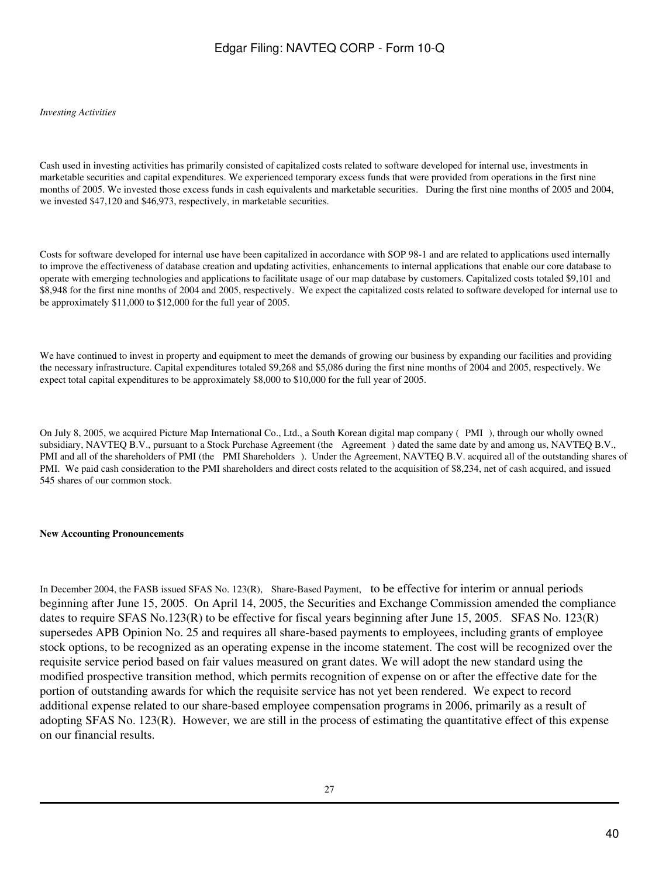#### *Investing Activities*

Cash used in investing activities has primarily consisted of capitalized costs related to software developed for internal use, investments in marketable securities and capital expenditures. We experienced temporary excess funds that were provided from operations in the first nine months of 2005. We invested those excess funds in cash equivalents and marketable securities. During the first nine months of 2005 and 2004, we invested \$47,120 and \$46,973, respectively, in marketable securities.

Costs for software developed for internal use have been capitalized in accordance with SOP 98-1 and are related to applications used internally to improve the effectiveness of database creation and updating activities, enhancements to internal applications that enable our core database to operate with emerging technologies and applications to facilitate usage of our map database by customers. Capitalized costs totaled \$9,101 and \$8,948 for the first nine months of 2004 and 2005, respectively. We expect the capitalized costs related to software developed for internal use to be approximately \$11,000 to \$12,000 for the full year of 2005.

We have continued to invest in property and equipment to meet the demands of growing our business by expanding our facilities and providing the necessary infrastructure. Capital expenditures totaled \$9,268 and \$5,086 during the first nine months of 2004 and 2005, respectively. We expect total capital expenditures to be approximately \$8,000 to \$10,000 for the full year of 2005.

On July 8, 2005, we acquired Picture Map International Co., Ltd., a South Korean digital map company (PMI), through our wholly owned subsidiary, NAVTEQ B.V., pursuant to a Stock Purchase Agreement (the Agreement) dated the same date by and among us, NAVTEQ B.V., PMI and all of the shareholders of PMI (the PMI Shareholders). Under the Agreement, NAVTEQ B.V. acquired all of the outstanding shares of PMI. We paid cash consideration to the PMI shareholders and direct costs related to the acquisition of \$8,234, net of cash acquired, and issued 545 shares of our common stock.

### **New Accounting Pronouncements**

In December 2004, the FASB issued SFAS No. 123(R), Share-Based Payment, to be effective for interim or annual periods beginning after June 15, 2005. On April 14, 2005, the Securities and Exchange Commission amended the compliance dates to require SFAS No.123(R) to be effective for fiscal years beginning after June 15, 2005. SFAS No. 123(R) supersedes APB Opinion No. 25 and requires all share-based payments to employees, including grants of employee stock options, to be recognized as an operating expense in the income statement. The cost will be recognized over the requisite service period based on fair values measured on grant dates. We will adopt the new standard using the modified prospective transition method, which permits recognition of expense on or after the effective date for the portion of outstanding awards for which the requisite service has not yet been rendered. We expect to record additional expense related to our share-based employee compensation programs in 2006, primarily as a result of adopting SFAS No. 123(R). However, we are still in the process of estimating the quantitative effect of this expense on our financial results.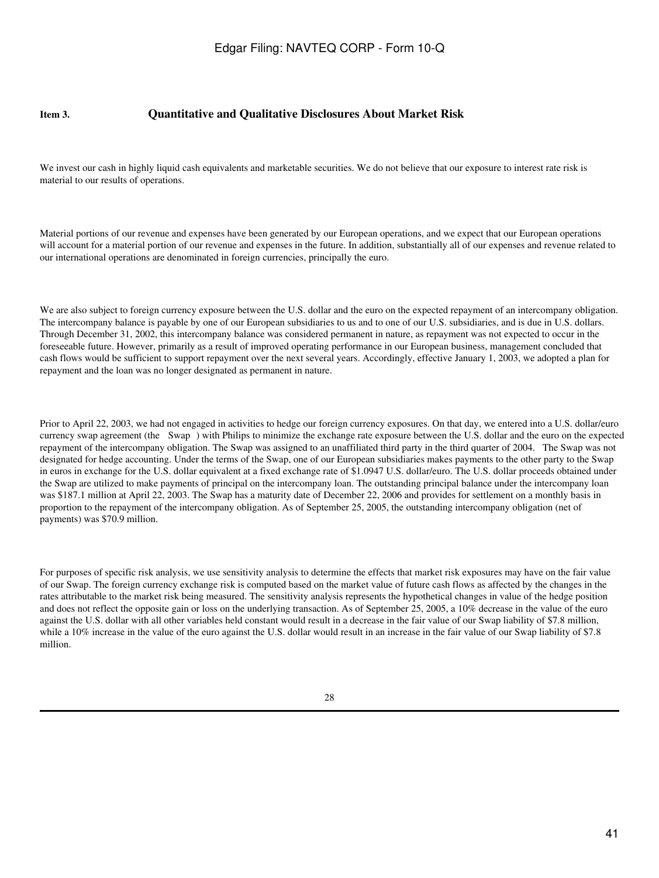### **Item 3. Quantitative and Qualitative Disclosures About Market Risk**

We invest our cash in highly liquid cash equivalents and marketable securities. We do not believe that our exposure to interest rate risk is material to our results of operations.

Material portions of our revenue and expenses have been generated by our European operations, and we expect that our European operations will account for a material portion of our revenue and expenses in the future. In addition, substantially all of our expenses and revenue related to our international operations are denominated in foreign currencies, principally the euro.

We are also subject to foreign currency exposure between the U.S. dollar and the euro on the expected repayment of an intercompany obligation. The intercompany balance is payable by one of our European subsidiaries to us and to one of our U.S. subsidiaries, and is due in U.S. dollars. Through December 31, 2002, this intercompany balance was considered permanent in nature, as repayment was not expected to occur in the foreseeable future. However, primarily as a result of improved operating performance in our European business, management concluded that cash flows would be sufficient to support repayment over the next several years. Accordingly, effective January 1, 2003, we adopted a plan for repayment and the loan was no longer designated as permanent in nature.

Prior to April 22, 2003, we had not engaged in activities to hedge our foreign currency exposures. On that day, we entered into a U.S. dollar/euro currency swap agreement (the Swap) with Philips to minimize the exchange rate exposure between the U.S. dollar and the euro on the expected repayment of the intercompany obligation. The Swap was assigned to an unaffiliated third party in the third quarter of 2004. The Swap was not designated for hedge accounting. Under the terms of the Swap, one of our European subsidiaries makes payments to the other party to the Swap in euros in exchange for the U.S. dollar equivalent at a fixed exchange rate of \$1.0947 U.S. dollar/euro. The U.S. dollar proceeds obtained under the Swap are utilized to make payments of principal on the intercompany loan. The outstanding principal balance under the intercompany loan was \$187.1 million at April 22, 2003. The Swap has a maturity date of December 22, 2006 and provides for settlement on a monthly basis in proportion to the repayment of the intercompany obligation. As of September 25, 2005, the outstanding intercompany obligation (net of payments) was \$70.9 million.

For purposes of specific risk analysis, we use sensitivity analysis to determine the effects that market risk exposures may have on the fair value of our Swap. The foreign currency exchange risk is computed based on the market value of future cash flows as affected by the changes in the rates attributable to the market risk being measured. The sensitivity analysis represents the hypothetical changes in value of the hedge position and does not reflect the opposite gain or loss on the underlying transaction. As of September 25, 2005, a 10% decrease in the value of the euro against the U.S. dollar with all other variables held constant would result in a decrease in the fair value of our Swap liability of \$7.8 million, while a 10% increase in the value of the euro against the U.S. dollar would result in an increase in the fair value of our Swap liability of \$7.8 million.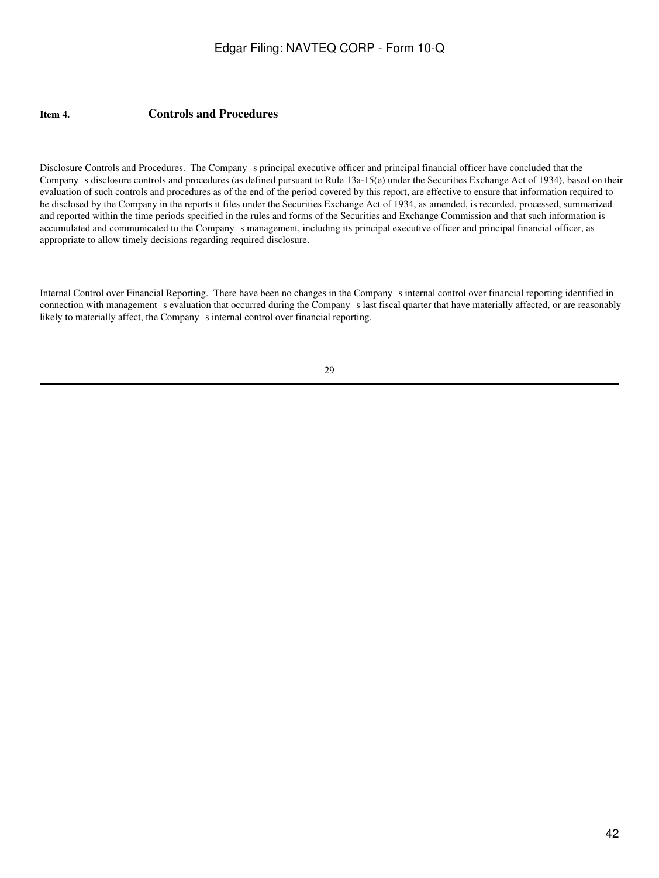### **Item 4. Controls and Procedures**

Disclosure Controls and Procedures. The Company s principal executive officer and principal financial officer have concluded that the Company s disclosure controls and procedures (as defined pursuant to Rule 13a-15(e) under the Securities Exchange Act of 1934), based on their evaluation of such controls and procedures as of the end of the period covered by this report, are effective to ensure that information required to be disclosed by the Company in the reports it files under the Securities Exchange Act of 1934, as amended, is recorded, processed, summarized and reported within the time periods specified in the rules and forms of the Securities and Exchange Commission and that such information is accumulated and communicated to the Companys management, including its principal executive officer and principal financial officer, as appropriate to allow timely decisions regarding required disclosure.

Internal Control over Financial Reporting. There have been no changes in the Companys internal control over financial reporting identified in connection with management s evaluation that occurred during the Company s last fiscal quarter that have materially affected, or are reasonably likely to materially affect, the Company s internal control over financial reporting.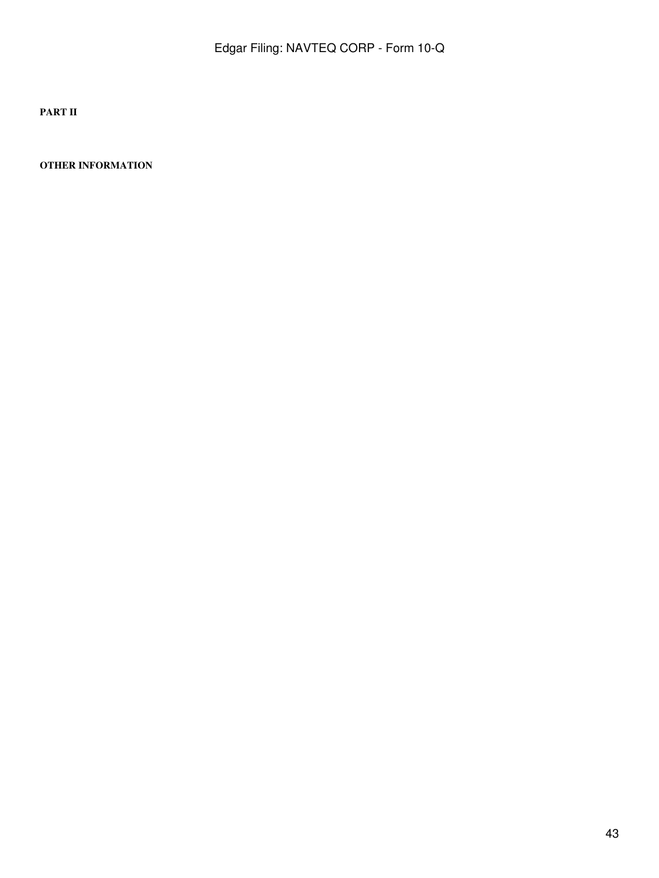**PART II**

**OTHER INFORMATION**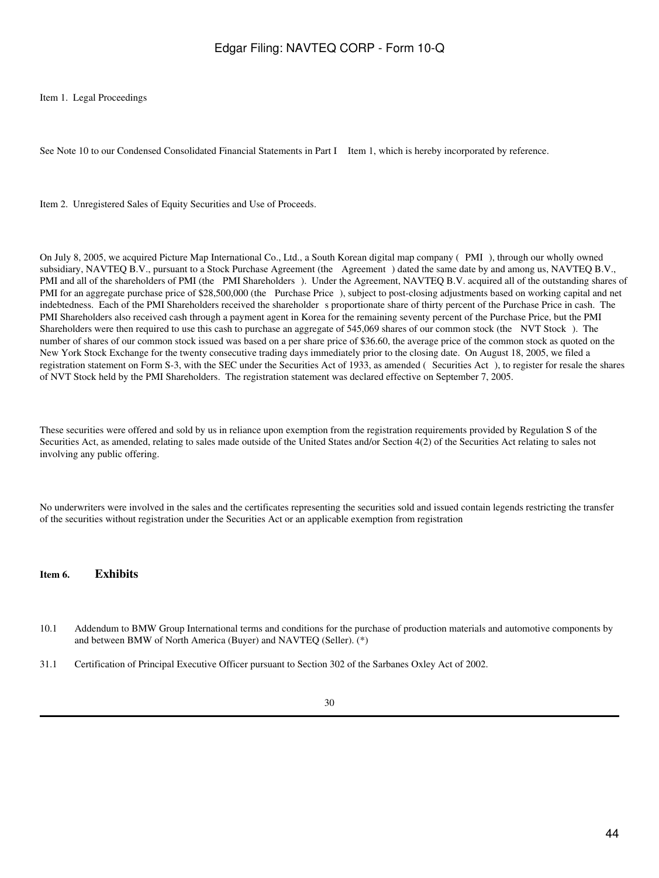Item 1. Legal Proceedings

See Note 10 to our Condensed Consolidated Financial Statements in Part I Item 1, which is hereby incorporated by reference.

Item 2. Unregistered Sales of Equity Securities and Use of Proceeds.

On July 8, 2005, we acquired Picture Map International Co., Ltd., a South Korean digital map company (PMI), through our wholly owned subsidiary, NAVTEQ B.V., pursuant to a Stock Purchase Agreement (the Agreement) dated the same date by and among us, NAVTEQ B.V., PMI and all of the shareholders of PMI (the PMI Shareholders). Under the Agreement, NAVTEQ B.V. acquired all of the outstanding shares of PMI for an aggregate purchase price of \$28,500,000 (the Purchase Price), subject to post-closing adjustments based on working capital and net indebtedness. Each of the PMI Shareholders received the shareholder s proportionate share of thirty percent of the Purchase Price in cash. The PMI Shareholders also received cash through a payment agent in Korea for the remaining seventy percent of the Purchase Price, but the PMI Shareholders were then required to use this cash to purchase an aggregate of 545,069 shares of our common stock (the NVT Stock). The number of shares of our common stock issued was based on a per share price of \$36.60, the average price of the common stock as quoted on the New York Stock Exchange for the twenty consecutive trading days immediately prior to the closing date. On August 18, 2005, we filed a registration statement on Form S-3, with the SEC under the Securities Act of 1933, as amended (Securities Act), to register for resale the shares of NVT Stock held by the PMI Shareholders. The registration statement was declared effective on September 7, 2005.

These securities were offered and sold by us in reliance upon exemption from the registration requirements provided by Regulation S of the Securities Act, as amended, relating to sales made outside of the United States and/or Section 4(2) of the Securities Act relating to sales not involving any public offering.

No underwriters were involved in the sales and the certificates representing the securities sold and issued contain legends restricting the transfer of the securities without registration under the Securities Act or an applicable exemption from registration

### **Item 6. Exhibits**

- 10.1 Addendum to BMW Group International terms and conditions for the purchase of production materials and automotive components by and between BMW of North America (Buyer) and NAVTEQ (Seller). (\*)
- 31.1 Certification of Principal Executive Officer pursuant to Section 302 of the Sarbanes Oxley Act of 2002.
	- 30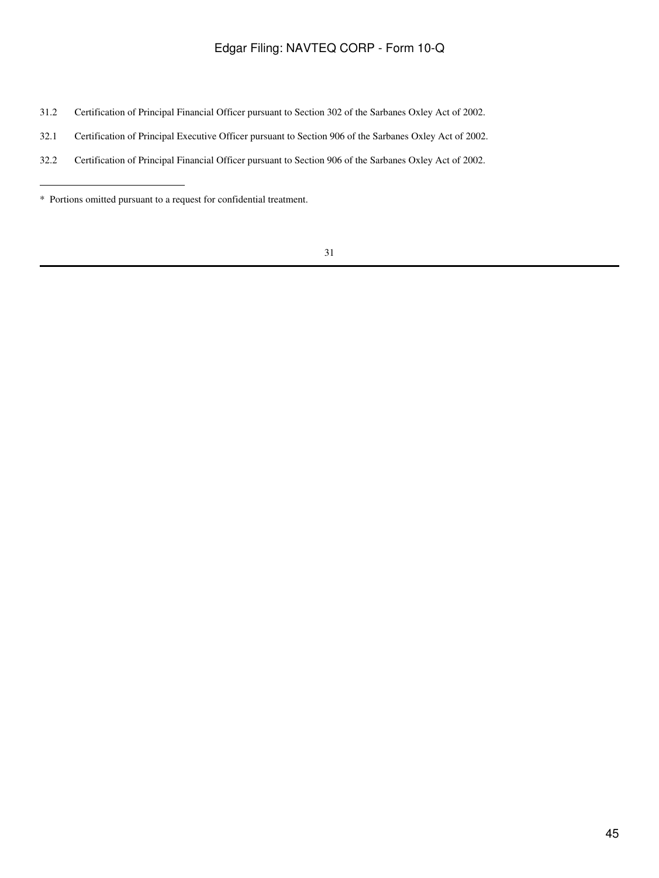- 31.2 Certification of Principal Financial Officer pursuant to Section 302 of the Sarbanes Oxley Act of 2002.
- 32.1 Certification of Principal Executive Officer pursuant to Section 906 of the Sarbanes Oxley Act of 2002.
- 32.2 Certification of Principal Financial Officer pursuant to Section 906 of the Sarbanes Oxley Act of 2002.

<sup>\*</sup> Portions omitted pursuant to a request for confidential treatment.